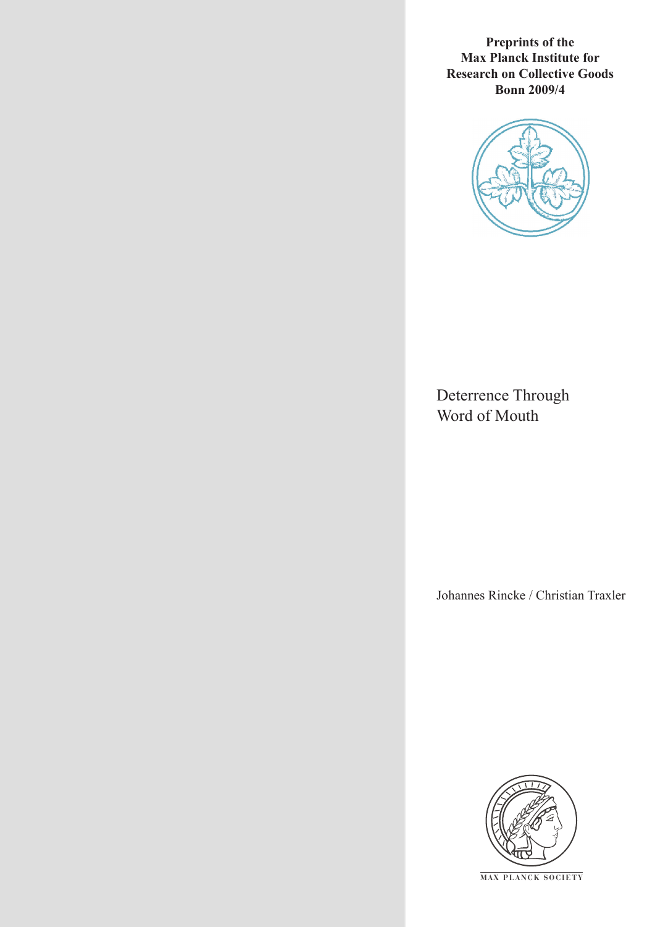**Preprints of the Max Planck Institute for Research on Collective Goods Bonn 2009/4**



Deterrence Through Word of Mouth

Johannes Rincke / Christian Traxler



**M AX P L A N C K S O C I E T Y**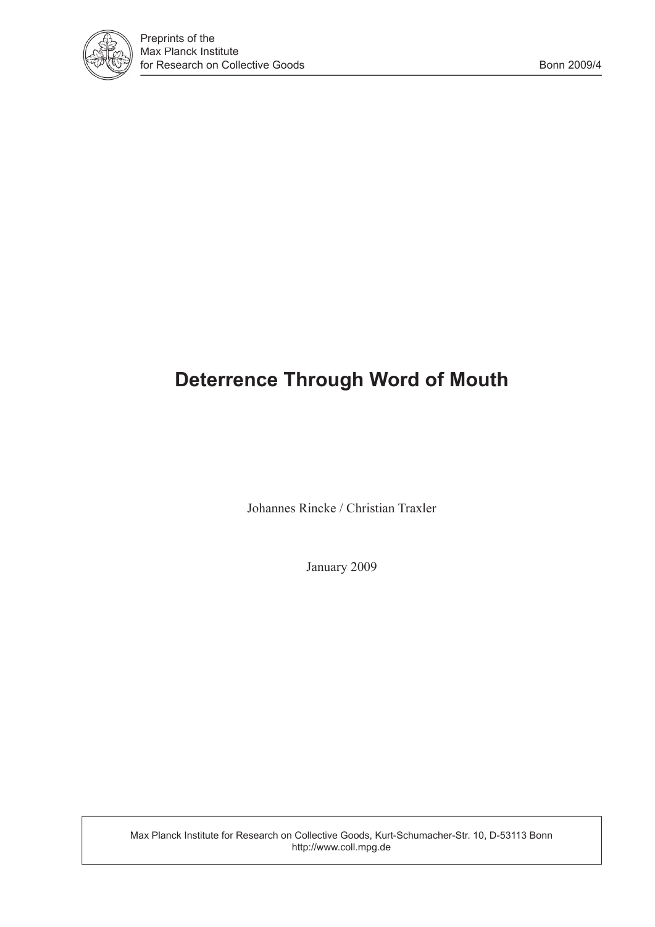

# **Deterrence Through Word of Mouth**

Johannes Rincke / Christian Traxler

January 2009

Max Planck Institute for Research on Collective Goods, Kurt-Schumacher-Str. 10, D-53113 Bonn http://www.coll.mpg.de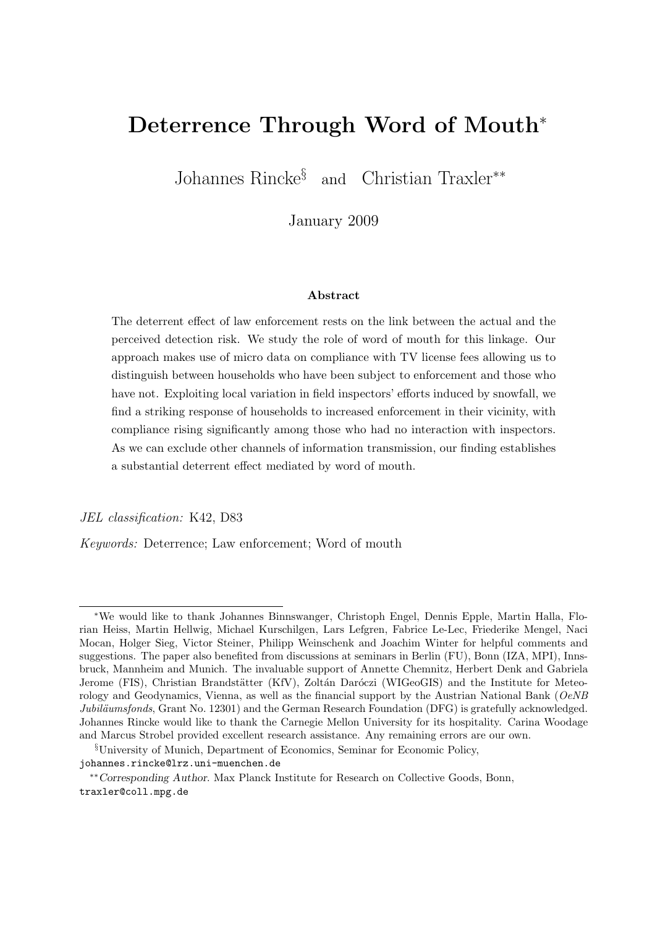# Deterrence Through Word of Mouth<sup>\*</sup>

Johannes Rincke§ and Christian Traxler∗∗

January 2009

#### Abstract

The deterrent effect of law enforcement rests on the link between the actual and the perceived detection risk. We study the role of word of mouth for this linkage. Our approach makes use of micro data on compliance with TV license fees allowing us to distinguish between households who have been subject to enforcement and those who have not. Exploiting local variation in field inspectors' efforts induced by snowfall, we find a striking response of households to increased enforcement in their vicinity, with compliance rising significantly among those who had no interaction with inspectors. As we can exclude other channels of information transmission, our finding establishes a substantial deterrent effect mediated by word of mouth.

JEL classification: K42, D83

Keywords: Deterrence; Law enforcement; Word of mouth

<sup>∗</sup>We would like to thank Johannes Binnswanger, Christoph Engel, Dennis Epple, Martin Halla, Florian Heiss, Martin Hellwig, Michael Kurschilgen, Lars Lefgren, Fabrice Le-Lec, Friederike Mengel, Naci Mocan, Holger Sieg, Victor Steiner, Philipp Weinschenk and Joachim Winter for helpful comments and suggestions. The paper also benefited from discussions at seminars in Berlin (FU), Bonn (IZA, MPI), Innsbruck, Mannheim and Munich. The invaluable support of Annette Chemnitz, Herbert Denk and Gabriela Jerome (FIS), Christian Brandstätter (KfV), Zoltán Daróczi (WIGeoGIS) and the Institute for Meteorology and Geodynamics, Vienna, as well as the financial support by the Austrian National Bank (OeNB) Jubiläumsfonds, Grant No. 12301) and the German Research Foundation (DFG) is gratefully acknowledged. Johannes Rincke would like to thank the Carnegie Mellon University for its hospitality. Carina Woodage and Marcus Strobel provided excellent research assistance. Any remaining errors are our own.

<sup>§</sup>University of Munich, Department of Economics, Seminar for Economic Policy, johannes.rincke@lrz.uni-muenchen.de

<sup>∗∗</sup>Corresponding Author. Max Planck Institute for Research on Collective Goods, Bonn, traxler@coll.mpg.de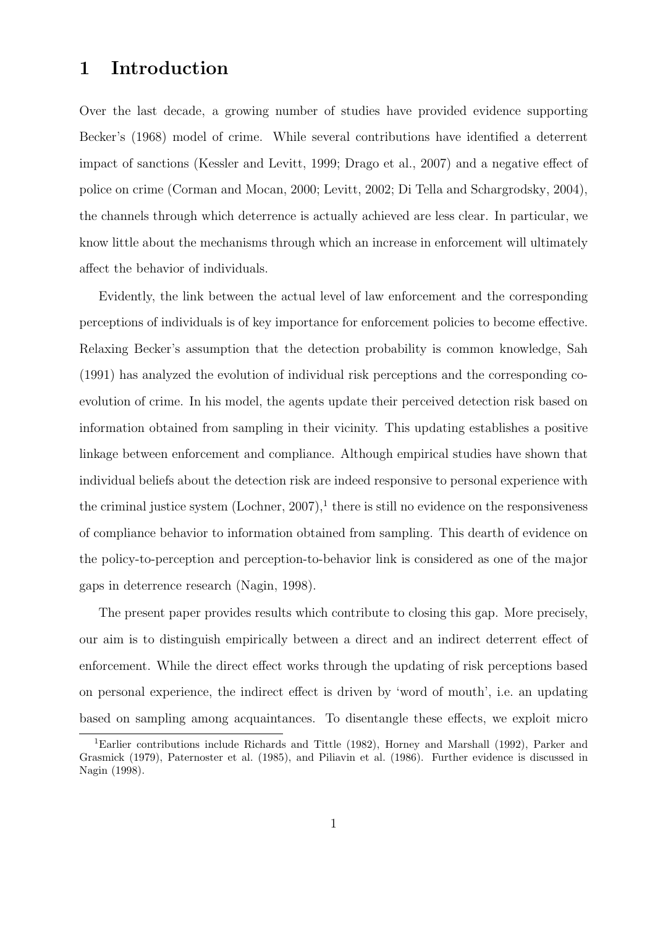### 1 Introduction

Over the last decade, a growing number of studies have provided evidence supporting Becker's (1968) model of crime. While several contributions have identified a deterrent impact of sanctions (Kessler and Levitt, 1999; Drago et al., 2007) and a negative effect of police on crime (Corman and Mocan, 2000; Levitt, 2002; Di Tella and Schargrodsky, 2004), the channels through which deterrence is actually achieved are less clear. In particular, we know little about the mechanisms through which an increase in enforcement will ultimately affect the behavior of individuals.

Evidently, the link between the actual level of law enforcement and the corresponding perceptions of individuals is of key importance for enforcement policies to become effective. Relaxing Becker's assumption that the detection probability is common knowledge, Sah (1991) has analyzed the evolution of individual risk perceptions and the corresponding coevolution of crime. In his model, the agents update their perceived detection risk based on information obtained from sampling in their vicinity. This updating establishes a positive linkage between enforcement and compliance. Although empirical studies have shown that individual beliefs about the detection risk are indeed responsive to personal experience with the criminal justice system  $(Lochner, 2007)$ ,<sup>1</sup> there is still no evidence on the responsiveness of compliance behavior to information obtained from sampling. This dearth of evidence on the policy-to-perception and perception-to-behavior link is considered as one of the major gaps in deterrence research (Nagin, 1998).

The present paper provides results which contribute to closing this gap. More precisely, our aim is to distinguish empirically between a direct and an indirect deterrent effect of enforcement. While the direct effect works through the updating of risk perceptions based on personal experience, the indirect effect is driven by 'word of mouth', i.e. an updating based on sampling among acquaintances. To disentangle these effects, we exploit micro

<sup>1</sup>Earlier contributions include Richards and Tittle (1982), Horney and Marshall (1992), Parker and Grasmick (1979), Paternoster et al. (1985), and Piliavin et al. (1986). Further evidence is discussed in Nagin (1998).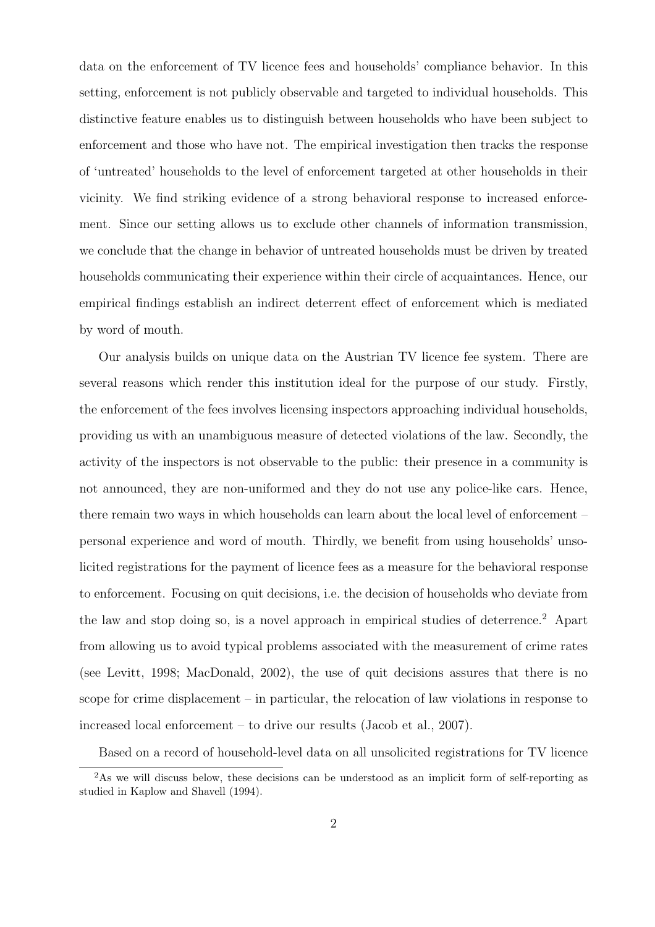data on the enforcement of TV licence fees and households' compliance behavior. In this setting, enforcement is not publicly observable and targeted to individual households. This distinctive feature enables us to distinguish between households who have been subject to enforcement and those who have not. The empirical investigation then tracks the response of 'untreated' households to the level of enforcement targeted at other households in their vicinity. We find striking evidence of a strong behavioral response to increased enforcement. Since our setting allows us to exclude other channels of information transmission, we conclude that the change in behavior of untreated households must be driven by treated households communicating their experience within their circle of acquaintances. Hence, our empirical findings establish an indirect deterrent effect of enforcement which is mediated by word of mouth.

Our analysis builds on unique data on the Austrian TV licence fee system. There are several reasons which render this institution ideal for the purpose of our study. Firstly, the enforcement of the fees involves licensing inspectors approaching individual households, providing us with an unambiguous measure of detected violations of the law. Secondly, the activity of the inspectors is not observable to the public: their presence in a community is not announced, they are non-uniformed and they do not use any police-like cars. Hence, there remain two ways in which households can learn about the local level of enforcement – personal experience and word of mouth. Thirdly, we benefit from using households' unsolicited registrations for the payment of licence fees as a measure for the behavioral response to enforcement. Focusing on quit decisions, i.e. the decision of households who deviate from the law and stop doing so, is a novel approach in empirical studies of deterrence.<sup>2</sup> Apart from allowing us to avoid typical problems associated with the measurement of crime rates (see Levitt, 1998; MacDonald, 2002), the use of quit decisions assures that there is no scope for crime displacement – in particular, the relocation of law violations in response to increased local enforcement – to drive our results (Jacob et al., 2007).

Based on a record of household-level data on all unsolicited registrations for TV licence

<sup>&</sup>lt;sup>2</sup>As we will discuss below, these decisions can be understood as an implicit form of self-reporting as studied in Kaplow and Shavell (1994).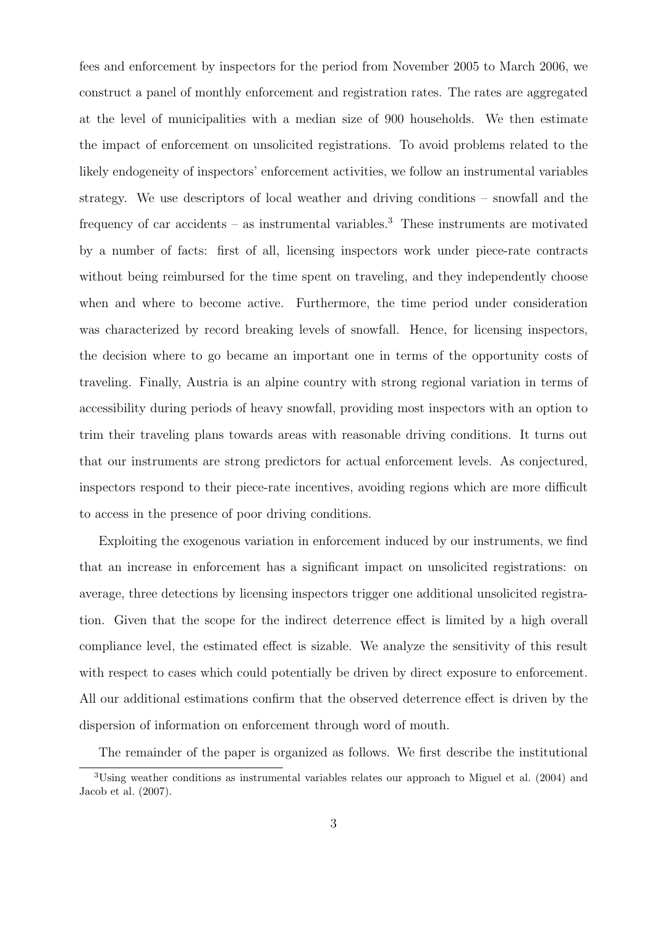fees and enforcement by inspectors for the period from November 2005 to March 2006, we construct a panel of monthly enforcement and registration rates. The rates are aggregated at the level of municipalities with a median size of 900 households. We then estimate the impact of enforcement on unsolicited registrations. To avoid problems related to the likely endogeneity of inspectors' enforcement activities, we follow an instrumental variables strategy. We use descriptors of local weather and driving conditions – snowfall and the frequency of car accidents – as instrumental variables.<sup>3</sup> These instruments are motivated by a number of facts: first of all, licensing inspectors work under piece-rate contracts without being reimbursed for the time spent on traveling, and they independently choose when and where to become active. Furthermore, the time period under consideration was characterized by record breaking levels of snowfall. Hence, for licensing inspectors, the decision where to go became an important one in terms of the opportunity costs of traveling. Finally, Austria is an alpine country with strong regional variation in terms of accessibility during periods of heavy snowfall, providing most inspectors with an option to trim their traveling plans towards areas with reasonable driving conditions. It turns out that our instruments are strong predictors for actual enforcement levels. As conjectured, inspectors respond to their piece-rate incentives, avoiding regions which are more difficult to access in the presence of poor driving conditions.

Exploiting the exogenous variation in enforcement induced by our instruments, we find that an increase in enforcement has a significant impact on unsolicited registrations: on average, three detections by licensing inspectors trigger one additional unsolicited registration. Given that the scope for the indirect deterrence effect is limited by a high overall compliance level, the estimated effect is sizable. We analyze the sensitivity of this result with respect to cases which could potentially be driven by direct exposure to enforcement. All our additional estimations confirm that the observed deterrence effect is driven by the dispersion of information on enforcement through word of mouth.

The remainder of the paper is organized as follows. We first describe the institutional <sup>3</sup>Using weather conditions as instrumental variables relates our approach to Miguel et al. (2004) and Jacob et al. (2007).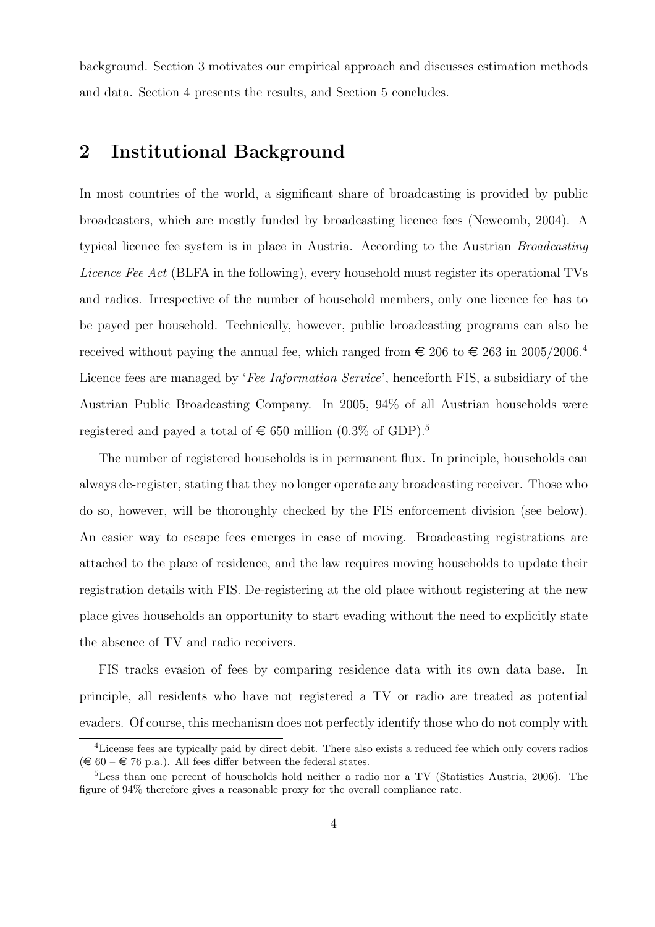background. Section 3 motivates our empirical approach and discusses estimation methods and data. Section 4 presents the results, and Section 5 concludes.

### 2 Institutional Background

In most countries of the world, a significant share of broadcasting is provided by public broadcasters, which are mostly funded by broadcasting licence fees (Newcomb, 2004). A typical licence fee system is in place in Austria. According to the Austrian Broadcasting Licence Fee Act (BLFA in the following), every household must register its operational TVs and radios. Irrespective of the number of household members, only one licence fee has to be payed per household. Technically, however, public broadcasting programs can also be received without paying the annual fee, which ranged from  $\epsilon$  206 to  $\epsilon$  263 in 2005/2006.<sup>4</sup> Licence fees are managed by 'Fee Information Service', henceforth FIS, a subsidiary of the Austrian Public Broadcasting Company. In 2005, 94% of all Austrian households were registered and payed a total of  $\in 650$  million (0.3% of GDP).<sup>5</sup>

The number of registered households is in permanent flux. In principle, households can always de-register, stating that they no longer operate any broadcasting receiver. Those who do so, however, will be thoroughly checked by the FIS enforcement division (see below). An easier way to escape fees emerges in case of moving. Broadcasting registrations are attached to the place of residence, and the law requires moving households to update their registration details with FIS. De-registering at the old place without registering at the new place gives households an opportunity to start evading without the need to explicitly state the absence of TV and radio receivers.

FIS tracks evasion of fees by comparing residence data with its own data base. In principle, all residents who have not registered a TV or radio are treated as potential evaders. Of course, this mechanism does not perfectly identify those who do not comply with

<sup>&</sup>lt;sup>4</sup>License fees are typically paid by direct debit. There also exists a reduced fee which only covers radios  $(\epsilon \in 60 - \epsilon \in 76 \text{ p.a.})$ . All fees differ between the federal states.

<sup>5</sup>Less than one percent of households hold neither a radio nor a TV (Statistics Austria, 2006). The figure of 94% therefore gives a reasonable proxy for the overall compliance rate.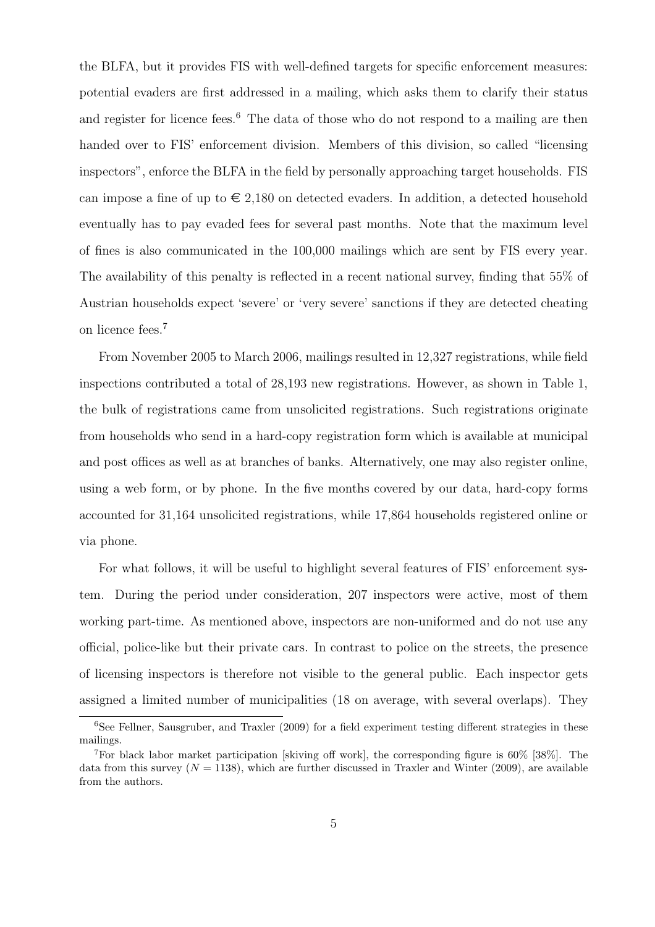the BLFA, but it provides FIS with well-defined targets for specific enforcement measures: potential evaders are first addressed in a mailing, which asks them to clarify their status and register for licence fees.<sup>6</sup> The data of those who do not respond to a mailing are then handed over to FIS' enforcement division. Members of this division, so called "licensing inspectors", enforce the BLFA in the field by personally approaching target households. FIS can impose a fine of up to  $\epsilon$  2,180 on detected evaders. In addition, a detected household eventually has to pay evaded fees for several past months. Note that the maximum level of fines is also communicated in the 100,000 mailings which are sent by FIS every year. The availability of this penalty is reflected in a recent national survey, finding that 55% of Austrian households expect 'severe' or 'very severe' sanctions if they are detected cheating on licence fees.<sup>7</sup>

From November 2005 to March 2006, mailings resulted in 12,327 registrations, while field inspections contributed a total of 28,193 new registrations. However, as shown in Table 1, the bulk of registrations came from unsolicited registrations. Such registrations originate from households who send in a hard-copy registration form which is available at municipal and post offices as well as at branches of banks. Alternatively, one may also register online, using a web form, or by phone. In the five months covered by our data, hard-copy forms accounted for 31,164 unsolicited registrations, while 17,864 households registered online or via phone.

For what follows, it will be useful to highlight several features of FIS' enforcement system. During the period under consideration, 207 inspectors were active, most of them working part-time. As mentioned above, inspectors are non-uniformed and do not use any official, police-like but their private cars. In contrast to police on the streets, the presence of licensing inspectors is therefore not visible to the general public. Each inspector gets assigned a limited number of municipalities (18 on average, with several overlaps). They

 $6$ See Fellner, Sausgruber, and Traxler (2009) for a field experiment testing different strategies in these mailings.

<sup>7</sup>For black labor market participation [skiving off work], the corresponding figure is 60% [38%]. The data from this survey  $(N = 1138)$ , which are further discussed in Traxler and Winter (2009), are available from the authors.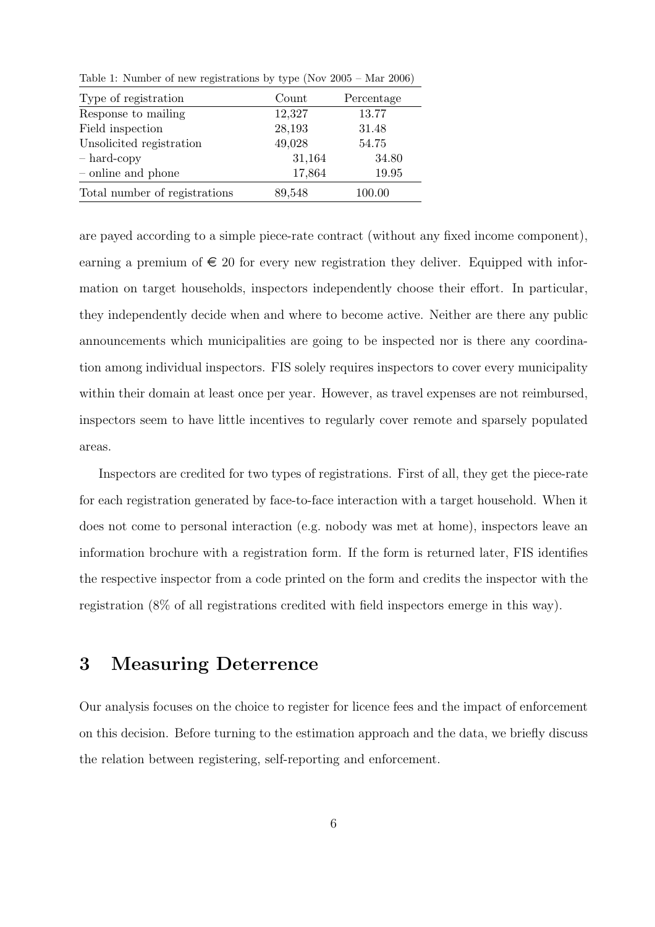Table 1: Number of new registrations by type (Nov 2005 – Mar 2006)

| Type of registration          | Count  | Percentage |
|-------------------------------|--------|------------|
| Response to mailing           | 12,327 | 13.77      |
| Field inspection              | 28,193 | 31.48      |
| Unsolicited registration      | 49,028 | 54.75      |
| $-$ hard-copy                 | 31,164 | 34.80      |
| - online and phone            | 17,864 | 19.95      |
| Total number of registrations | 89,548 | 100.00     |

are payed according to a simple piece-rate contract (without any fixed income component), earning a premium of  $\epsilon \leq 20$  for every new registration they deliver. Equipped with information on target households, inspectors independently choose their effort. In particular, they independently decide when and where to become active. Neither are there any public announcements which municipalities are going to be inspected nor is there any coordination among individual inspectors. FIS solely requires inspectors to cover every municipality within their domain at least once per year. However, as travel expenses are not reimbursed, inspectors seem to have little incentives to regularly cover remote and sparsely populated areas.

Inspectors are credited for two types of registrations. First of all, they get the piece-rate for each registration generated by face-to-face interaction with a target household. When it does not come to personal interaction (e.g. nobody was met at home), inspectors leave an information brochure with a registration form. If the form is returned later, FIS identifies the respective inspector from a code printed on the form and credits the inspector with the registration (8% of all registrations credited with field inspectors emerge in this way).

### 3 Measuring Deterrence

Our analysis focuses on the choice to register for licence fees and the impact of enforcement on this decision. Before turning to the estimation approach and the data, we briefly discuss the relation between registering, self-reporting and enforcement.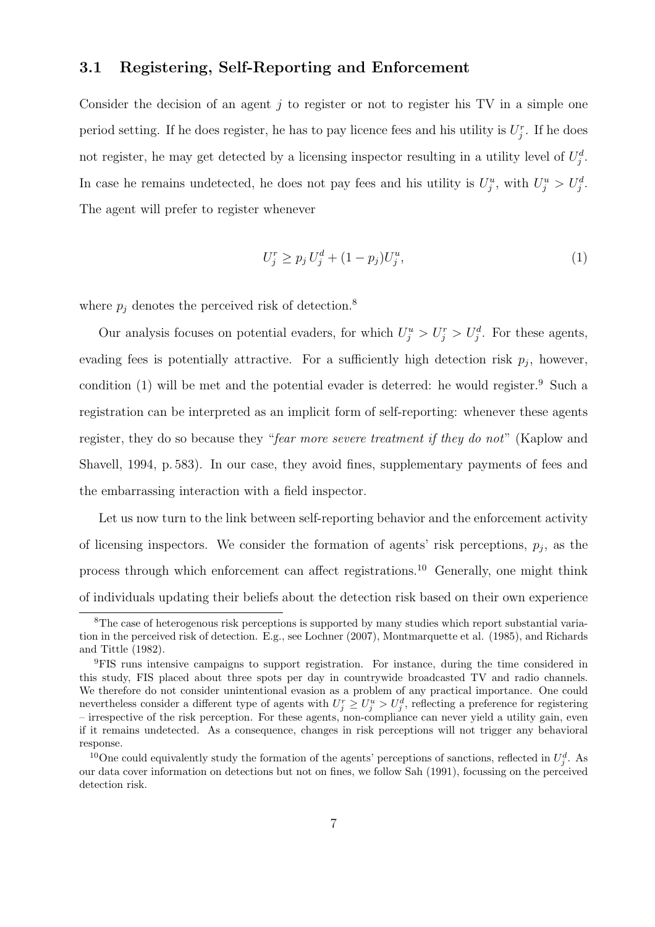### 3.1 Registering, Self-Reporting and Enforcement

Consider the decision of an agent  $j$  to register or not to register his TV in a simple one period setting. If he does register, he has to pay licence fees and his utility is  $U_j^r$ . If he does not register, he may get detected by a licensing inspector resulting in a utility level of  $U_j^d$ . In case he remains undetected, he does not pay fees and his utility is  $U_j^u$ , with  $U_j^u > U_j^d$ . The agent will prefer to register whenever

$$
U_j^r \ge p_j U_j^d + (1 - p_j) U_j^u,\tag{1}
$$

where  $p_j$  denotes the perceived risk of detection.<sup>8</sup>

Our analysis focuses on potential evaders, for which  $U_j^u > U_j^r > U_j^d$ . For these agents, evading fees is potentially attractive. For a sufficiently high detection risk  $p_j$ , however, condition  $(1)$  will be met and the potential evader is deterred: he would register.<sup>9</sup> Such a registration can be interpreted as an implicit form of self-reporting: whenever these agents register, they do so because they "fear more severe treatment if they do not" (Kaplow and Shavell, 1994, p. 583). In our case, they avoid fines, supplementary payments of fees and the embarrassing interaction with a field inspector.

Let us now turn to the link between self-reporting behavior and the enforcement activity of licensing inspectors. We consider the formation of agents' risk perceptions,  $p_j$ , as the process through which enforcement can affect registrations.<sup>10</sup> Generally, one might think of individuals updating their beliefs about the detection risk based on their own experience

<sup>&</sup>lt;sup>8</sup>The case of heterogenous risk perceptions is supported by many studies which report substantial variation in the perceived risk of detection. E.g., see Lochner (2007), Montmarquette et al. (1985), and Richards and Tittle (1982).

<sup>9</sup>FIS runs intensive campaigns to support registration. For instance, during the time considered in this study, FIS placed about three spots per day in countrywide broadcasted TV and radio channels. We therefore do not consider unintentional evasion as a problem of any practical importance. One could nevertheless consider a different type of agents with  $U_j^r \ge U_j^u > U_j^d$ , reflecting a preference for registering – irrespective of the risk perception. For these agents, non-compliance can never yield a utility gain, even if it remains undetected. As a consequence, changes in risk perceptions will not trigger any behavioral response.

<sup>&</sup>lt;sup>10</sup>One could equivalently study the formation of the agents' perceptions of sanctions, reflected in  $U_j^d$ . As our data cover information on detections but not on fines, we follow Sah (1991), focussing on the perceived detection risk.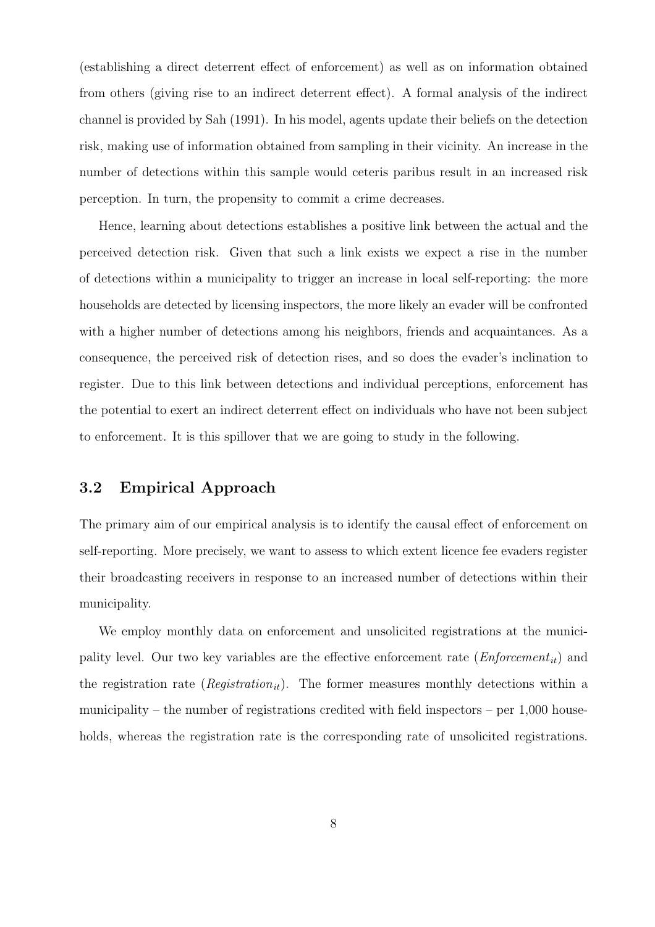(establishing a direct deterrent effect of enforcement) as well as on information obtained from others (giving rise to an indirect deterrent effect). A formal analysis of the indirect channel is provided by Sah (1991). In his model, agents update their beliefs on the detection risk, making use of information obtained from sampling in their vicinity. An increase in the number of detections within this sample would ceteris paribus result in an increased risk perception. In turn, the propensity to commit a crime decreases.

Hence, learning about detections establishes a positive link between the actual and the perceived detection risk. Given that such a link exists we expect a rise in the number of detections within a municipality to trigger an increase in local self-reporting: the more households are detected by licensing inspectors, the more likely an evader will be confronted with a higher number of detections among his neighbors, friends and acquaintances. As a consequence, the perceived risk of detection rises, and so does the evader's inclination to register. Due to this link between detections and individual perceptions, enforcement has the potential to exert an indirect deterrent effect on individuals who have not been subject to enforcement. It is this spillover that we are going to study in the following.

### 3.2 Empirical Approach

The primary aim of our empirical analysis is to identify the causal effect of enforcement on self-reporting. More precisely, we want to assess to which extent licence fee evaders register their broadcasting receivers in response to an increased number of detections within their municipality.

We employ monthly data on enforcement and unsolicited registrations at the municipality level. Our two key variables are the effective enforcement rate  $(Enforcement_{it})$  and the registration rate ( $Region_{it}$ ). The former measures monthly detections within a municipality – the number of registrations credited with field inspectors – per  $1,000$  households, whereas the registration rate is the corresponding rate of unsolicited registrations.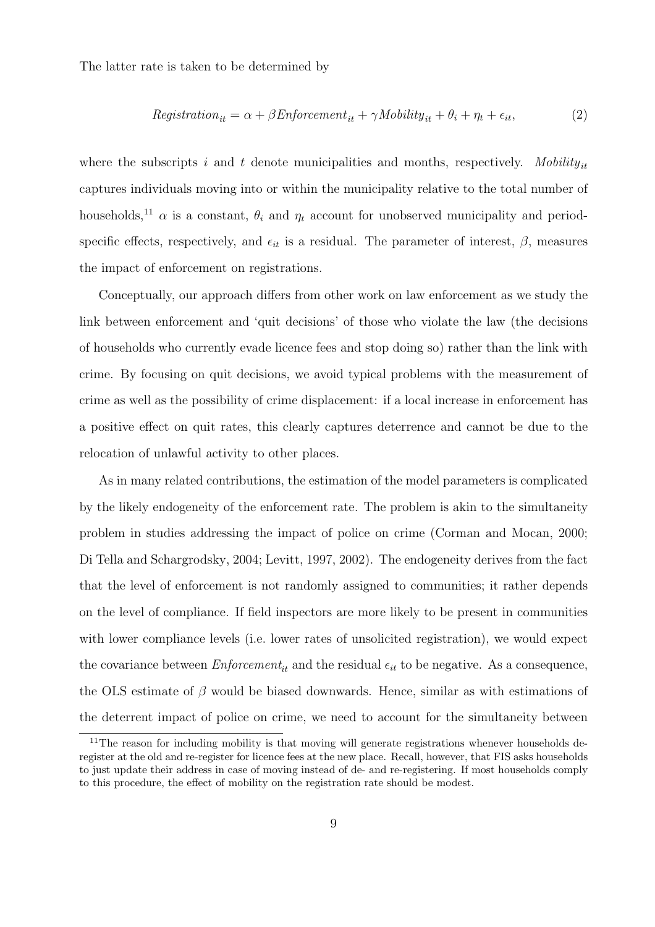The latter rate is taken to be determined by

$$
Region_{it} = \alpha + \beta Enforcement_{it} + \gamma Mobility_{it} + \theta_i + \eta_t + \epsilon_{it},
$$
\n(2)

where the subscripts i and t denote municipalities and months, respectively. Mobility<sub>it</sub> captures individuals moving into or within the municipality relative to the total number of households,<sup>11</sup>  $\alpha$  is a constant,  $\theta_i$  and  $\eta_t$  account for unobserved municipality and periodspecific effects, respectively, and  $\epsilon_{it}$  is a residual. The parameter of interest,  $\beta$ , measures the impact of enforcement on registrations.

Conceptually, our approach differs from other work on law enforcement as we study the link between enforcement and 'quit decisions' of those who violate the law (the decisions of households who currently evade licence fees and stop doing so) rather than the link with crime. By focusing on quit decisions, we avoid typical problems with the measurement of crime as well as the possibility of crime displacement: if a local increase in enforcement has a positive effect on quit rates, this clearly captures deterrence and cannot be due to the relocation of unlawful activity to other places.

As in many related contributions, the estimation of the model parameters is complicated by the likely endogeneity of the enforcement rate. The problem is akin to the simultaneity problem in studies addressing the impact of police on crime (Corman and Mocan, 2000; Di Tella and Schargrodsky, 2004; Levitt, 1997, 2002). The endogeneity derives from the fact that the level of enforcement is not randomly assigned to communities; it rather depends on the level of compliance. If field inspectors are more likely to be present in communities with lower compliance levels (i.e. lower rates of unsolicited registration), we would expect the covariance between  $Enforcement_{it}$  and the residual  $\epsilon_{it}$  to be negative. As a consequence, the OLS estimate of  $\beta$  would be biased downwards. Hence, similar as with estimations of the deterrent impact of police on crime, we need to account for the simultaneity between

 $11$ The reason for including mobility is that moving will generate registrations whenever households deregister at the old and re-register for licence fees at the new place. Recall, however, that FIS asks households to just update their address in case of moving instead of de- and re-registering. If most households comply to this procedure, the effect of mobility on the registration rate should be modest.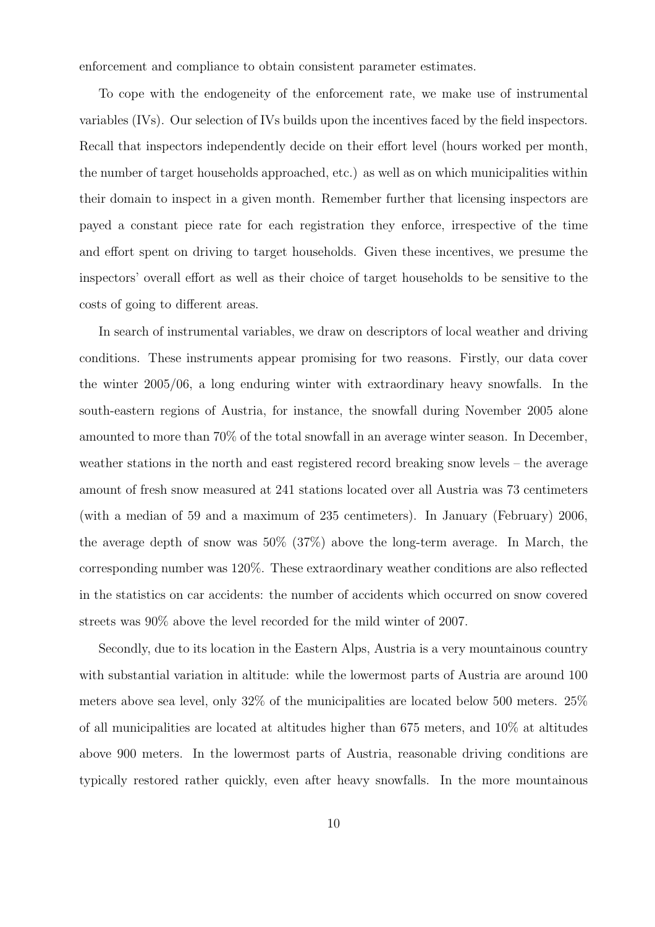enforcement and compliance to obtain consistent parameter estimates.

To cope with the endogeneity of the enforcement rate, we make use of instrumental variables (IVs). Our selection of IVs builds upon the incentives faced by the field inspectors. Recall that inspectors independently decide on their effort level (hours worked per month, the number of target households approached, etc.) as well as on which municipalities within their domain to inspect in a given month. Remember further that licensing inspectors are payed a constant piece rate for each registration they enforce, irrespective of the time and effort spent on driving to target households. Given these incentives, we presume the inspectors' overall effort as well as their choice of target households to be sensitive to the costs of going to different areas.

In search of instrumental variables, we draw on descriptors of local weather and driving conditions. These instruments appear promising for two reasons. Firstly, our data cover the winter 2005/06, a long enduring winter with extraordinary heavy snowfalls. In the south-eastern regions of Austria, for instance, the snowfall during November 2005 alone amounted to more than 70% of the total snowfall in an average winter season. In December, weather stations in the north and east registered record breaking snow levels – the average amount of fresh snow measured at 241 stations located over all Austria was 73 centimeters (with a median of 59 and a maximum of 235 centimeters). In January (February) 2006, the average depth of snow was 50% (37%) above the long-term average. In March, the corresponding number was 120%. These extraordinary weather conditions are also reflected in the statistics on car accidents: the number of accidents which occurred on snow covered streets was 90% above the level recorded for the mild winter of 2007.

Secondly, due to its location in the Eastern Alps, Austria is a very mountainous country with substantial variation in altitude: while the lowermost parts of Austria are around 100 meters above sea level, only 32% of the municipalities are located below 500 meters. 25% of all municipalities are located at altitudes higher than 675 meters, and 10% at altitudes above 900 meters. In the lowermost parts of Austria, reasonable driving conditions are typically restored rather quickly, even after heavy snowfalls. In the more mountainous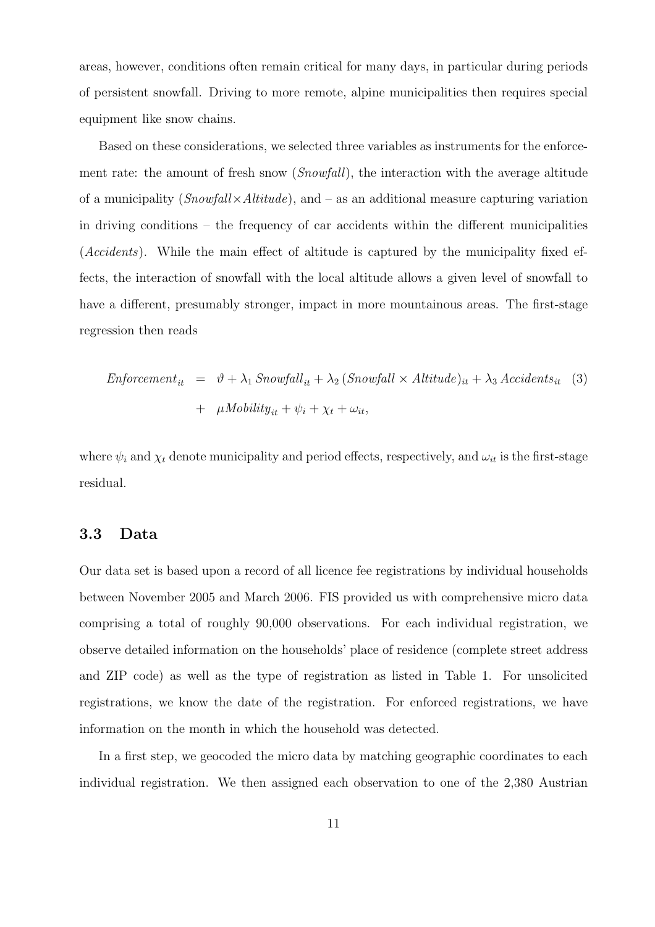areas, however, conditions often remain critical for many days, in particular during periods of persistent snowfall. Driving to more remote, alpine municipalities then requires special equipment like snow chains.

Based on these considerations, we selected three variables as instruments for the enforcement rate: the amount of fresh snow (Snowfall), the interaction with the average altitude of a municipality  $(Snowfall \times Altitude)$ , and – as an additional measure capturing variation in driving conditions – the frequency of car accidents within the different municipalities (Accidents). While the main effect of altitude is captured by the municipality fixed effects, the interaction of snowfall with the local altitude allows a given level of snowfall to have a different, presumably stronger, impact in more mountainous areas. The first-stage regression then reads

$$
Enforcement_{it} = \vartheta + \lambda_1 \, Snowfall_{it} + \lambda_2 \, (Snowfall \times Altitude)_{it} + \lambda_3 \, Accidents_{it} \quad (3)
$$

$$
+ \mu M obility_{it} + \psi_i + \chi_t + \omega_{it},
$$

where  $\psi_i$  and  $\chi_t$  denote municipality and period effects, respectively, and  $\omega_{it}$  is the first-stage residual.

### 3.3 Data

Our data set is based upon a record of all licence fee registrations by individual households between November 2005 and March 2006. FIS provided us with comprehensive micro data comprising a total of roughly 90,000 observations. For each individual registration, we observe detailed information on the households' place of residence (complete street address and ZIP code) as well as the type of registration as listed in Table 1. For unsolicited registrations, we know the date of the registration. For enforced registrations, we have information on the month in which the household was detected.

In a first step, we geocoded the micro data by matching geographic coordinates to each individual registration. We then assigned each observation to one of the 2,380 Austrian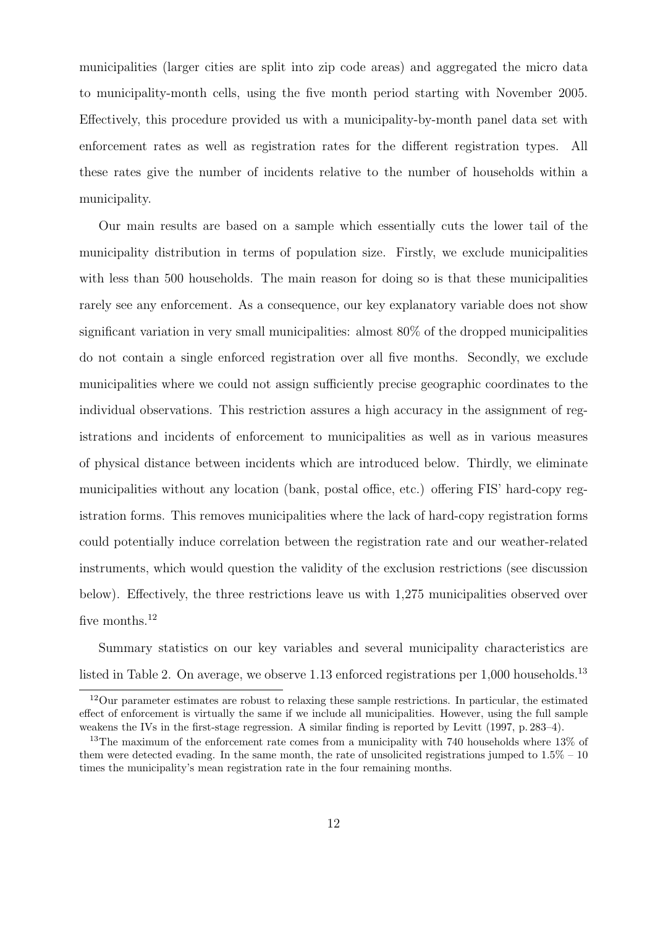municipalities (larger cities are split into zip code areas) and aggregated the micro data to municipality-month cells, using the five month period starting with November 2005. Effectively, this procedure provided us with a municipality-by-month panel data set with enforcement rates as well as registration rates for the different registration types. All these rates give the number of incidents relative to the number of households within a municipality.

Our main results are based on a sample which essentially cuts the lower tail of the municipality distribution in terms of population size. Firstly, we exclude municipalities with less than 500 households. The main reason for doing so is that these municipalities rarely see any enforcement. As a consequence, our key explanatory variable does not show significant variation in very small municipalities: almost 80% of the dropped municipalities do not contain a single enforced registration over all five months. Secondly, we exclude municipalities where we could not assign sufficiently precise geographic coordinates to the individual observations. This restriction assures a high accuracy in the assignment of registrations and incidents of enforcement to municipalities as well as in various measures of physical distance between incidents which are introduced below. Thirdly, we eliminate municipalities without any location (bank, postal office, etc.) offering FIS' hard-copy registration forms. This removes municipalities where the lack of hard-copy registration forms could potentially induce correlation between the registration rate and our weather-related instruments, which would question the validity of the exclusion restrictions (see discussion below). Effectively, the three restrictions leave us with 1,275 municipalities observed over five months.<sup>12</sup>

Summary statistics on our key variables and several municipality characteristics are listed in Table 2. On average, we observe  $1.13$  enforced registrations per  $1,000$  households.<sup>13</sup>

<sup>12</sup>Our parameter estimates are robust to relaxing these sample restrictions. In particular, the estimated effect of enforcement is virtually the same if we include all municipalities. However, using the full sample weakens the IVs in the first-stage regression. A similar finding is reported by Levitt (1997, p. 283–4).

<sup>&</sup>lt;sup>13</sup>The maximum of the enforcement rate comes from a municipality with 740 households where 13% of them were detected evading. In the same month, the rate of unsolicited registrations jumped to 1.5% – 10 times the municipality's mean registration rate in the four remaining months.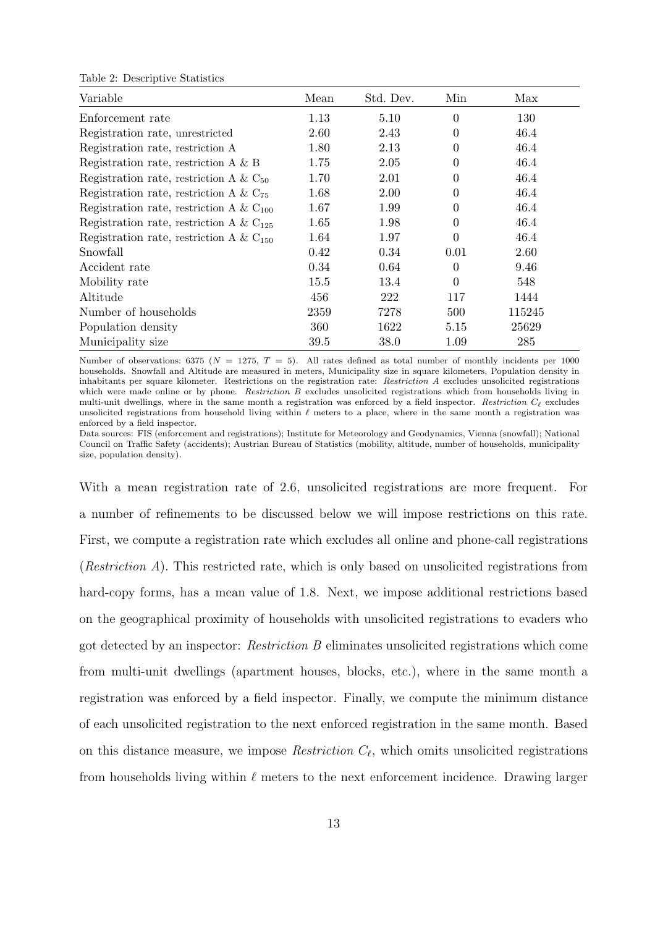| Variable                                     | Mean | Std. Dev. | Min            | Max    |
|----------------------------------------------|------|-----------|----------------|--------|
| Enforcement rate                             | 1.13 | 5.10      | $\theta$       | 130    |
| Registration rate, unrestricted              | 2.60 | 2.43      | 0              | 46.4   |
| Registration rate, restriction A             | 1.80 | 2.13      | 0              | 46.4   |
| Registration rate, restriction A $\&$ B      | 1.75 | 2.05      | 0              | 46.4   |
| Registration rate, restriction A & $C_{50}$  | 1.70 | 2.01      | 0              | 46.4   |
| Registration rate, restriction A & $C_{75}$  | 1.68 | 2.00      | 0              | 46.4   |
| Registration rate, restriction A & $C_{100}$ | 1.67 | 1.99      | $\overline{0}$ | 46.4   |
| Registration rate, restriction A & $C_{125}$ | 1.65 | 1.98      | $\overline{0}$ | 46.4   |
| Registration rate, restriction A & $C_{150}$ | 1.64 | 1.97      | $\theta$       | 46.4   |
| Snowfall                                     | 0.42 | 0.34      | 0.01           | 2.60   |
| Accident rate                                | 0.34 | 0.64      | $\overline{0}$ | 9.46   |
| Mobility rate                                | 15.5 | 13.4      | $\overline{0}$ | 548    |
| Altitude                                     | 456  | 222       | 117            | 1444   |
| Number of households                         | 2359 | 7278      | 500            | 115245 |
| Population density                           | 360  | 1622      | 5.15           | 25629  |
| Municipality size                            | 39.5 | 38.0      | 1.09           | 285    |

Number of observations: 6375 ( $N = 1275$ ,  $T = 5$ ). All rates defined as total number of monthly incidents per 1000 households. Snowfall and Altitude are measured in meters, Municipality size in square kilometers, Population density in inhabitants per square kilometer. Restrictions on the registration rate: Restriction A excludes unsolicited registrations which were made online or by phone. Restriction B excludes unsolicited registrations which from households living in multi-unit dwellings, where in the same month a registration was enforced by a field inspector. Restriction  $C_f$  excludes unsolicited registrations from household living within  $\ell$  meters to a place, where in the same month a registration was enforced by a field inspector.

Data sources: FIS (enforcement and registrations); Institute for Meteorology and Geodynamics, Vienna (snowfall); National Council on Traffic Safety (accidents); Austrian Bureau of Statistics (mobility, altitude, number of households, municipality size, population density).

With a mean registration rate of 2.6, unsolicited registrations are more frequent. For a number of refinements to be discussed below we will impose restrictions on this rate. First, we compute a registration rate which excludes all online and phone-call registrations (Restriction  $A$ ). This restricted rate, which is only based on unsolicited registrations from hard-copy forms, has a mean value of 1.8. Next, we impose additional restrictions based on the geographical proximity of households with unsolicited registrations to evaders who got detected by an inspector: Restriction B eliminates unsolicited registrations which come from multi-unit dwellings (apartment houses, blocks, etc.), where in the same month a registration was enforced by a field inspector. Finally, we compute the minimum distance of each unsolicited registration to the next enforced registration in the same month. Based on this distance measure, we impose *Restriction*  $C_{\ell}$ , which omits unsolicited registrations from households living within  $\ell$  meters to the next enforcement incidence. Drawing larger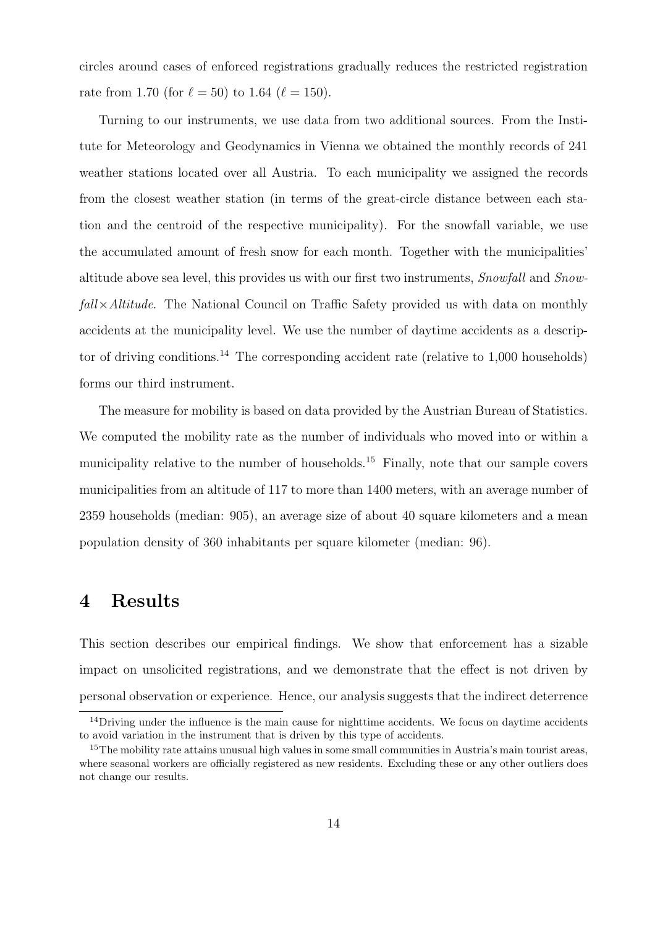circles around cases of enforced registrations gradually reduces the restricted registration rate from 1.70 (for  $\ell = 50$ ) to 1.64 ( $\ell = 150$ ).

Turning to our instruments, we use data from two additional sources. From the Institute for Meteorology and Geodynamics in Vienna we obtained the monthly records of 241 weather stations located over all Austria. To each municipality we assigned the records from the closest weather station (in terms of the great-circle distance between each station and the centroid of the respective municipality). For the snowfall variable, we use the accumulated amount of fresh snow for each month. Together with the municipalities' altitude above sea level, this provides us with our first two instruments, Snowfall and Snow $fall \times Altitude$ . The National Council on Traffic Safety provided us with data on monthly accidents at the municipality level. We use the number of daytime accidents as a descriptor of driving conditions.<sup>14</sup> The corresponding accident rate (relative to  $1,000$  households) forms our third instrument.

The measure for mobility is based on data provided by the Austrian Bureau of Statistics. We computed the mobility rate as the number of individuals who moved into or within a municipality relative to the number of households.<sup>15</sup> Finally, note that our sample covers municipalities from an altitude of 117 to more than 1400 meters, with an average number of 2359 households (median: 905), an average size of about 40 square kilometers and a mean population density of 360 inhabitants per square kilometer (median: 96).

### 4 Results

This section describes our empirical findings. We show that enforcement has a sizable impact on unsolicited registrations, and we demonstrate that the effect is not driven by personal observation or experience. Hence, our analysis suggests that the indirect deterrence

<sup>&</sup>lt;sup>14</sup>Driving under the influence is the main cause for nighttime accidents. We focus on daytime accidents to avoid variation in the instrument that is driven by this type of accidents.

<sup>&</sup>lt;sup>15</sup>The mobility rate attains unusual high values in some small communities in Austria's main tourist areas, where seasonal workers are officially registered as new residents. Excluding these or any other outliers does not change our results.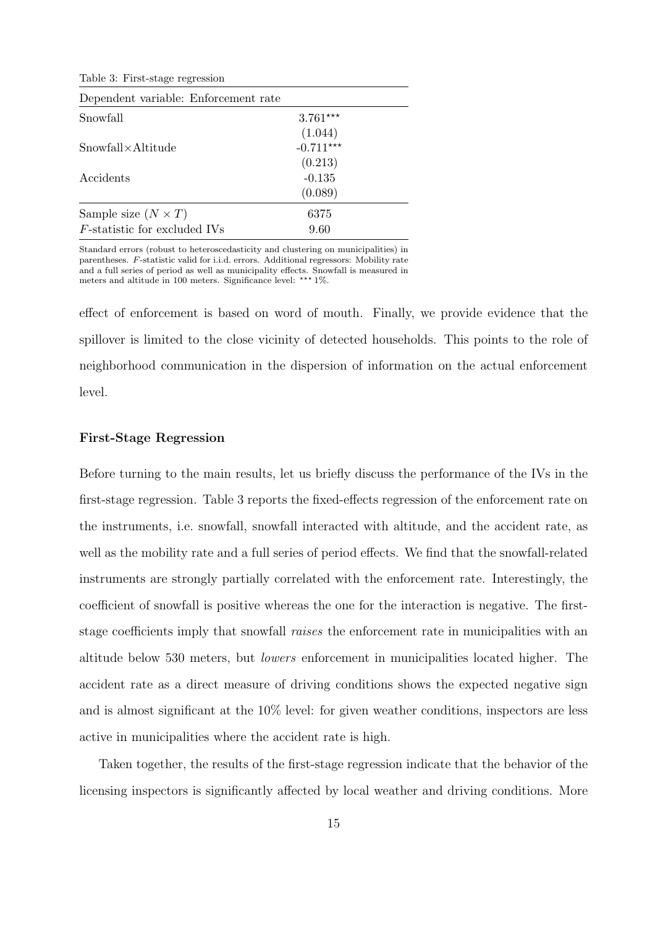Table 3: First-stage regression

| Dependent variable: Enforcement rate |             |
|--------------------------------------|-------------|
| Snowfall                             | $3.761***$  |
|                                      | (1.044)     |
| $Showfall \times Altitude$           | $-0.711***$ |
|                                      | (0.213)     |
| Accidents                            | $-0.135$    |
|                                      | (0.089)     |
| Sample size $(N \times T)$           | 6375        |
| <i>F</i> -statistic for excluded IVs | 9.60        |

Standard errors (robust to heteroscedasticity and clustering on municipalities) in parentheses. F-statistic valid for i.i.d. errors. Additional regressors: Mobility rate and a full series of period as well as municipality effects. Snowfall is measured in meters and altitude in 100 meters. Significance level: \*\*\*  $1\%$ .

effect of enforcement is based on word of mouth. Finally, we provide evidence that the spillover is limited to the close vicinity of detected households. This points to the role of neighborhood communication in the dispersion of information on the actual enforcement level.

#### First-Stage Regression

Before turning to the main results, let us briefly discuss the performance of the IVs in the first-stage regression. Table 3 reports the fixed-effects regression of the enforcement rate on the instruments, i.e. snowfall, snowfall interacted with altitude, and the accident rate, as well as the mobility rate and a full series of period effects. We find that the snowfall-related instruments are strongly partially correlated with the enforcement rate. Interestingly, the coefficient of snowfall is positive whereas the one for the interaction is negative. The firststage coefficients imply that snowfall raises the enforcement rate in municipalities with an altitude below 530 meters, but lowers enforcement in municipalities located higher. The accident rate as a direct measure of driving conditions shows the expected negative sign and is almost significant at the 10% level: for given weather conditions, inspectors are less active in municipalities where the accident rate is high.

Taken together, the results of the first-stage regression indicate that the behavior of the licensing inspectors is significantly affected by local weather and driving conditions. More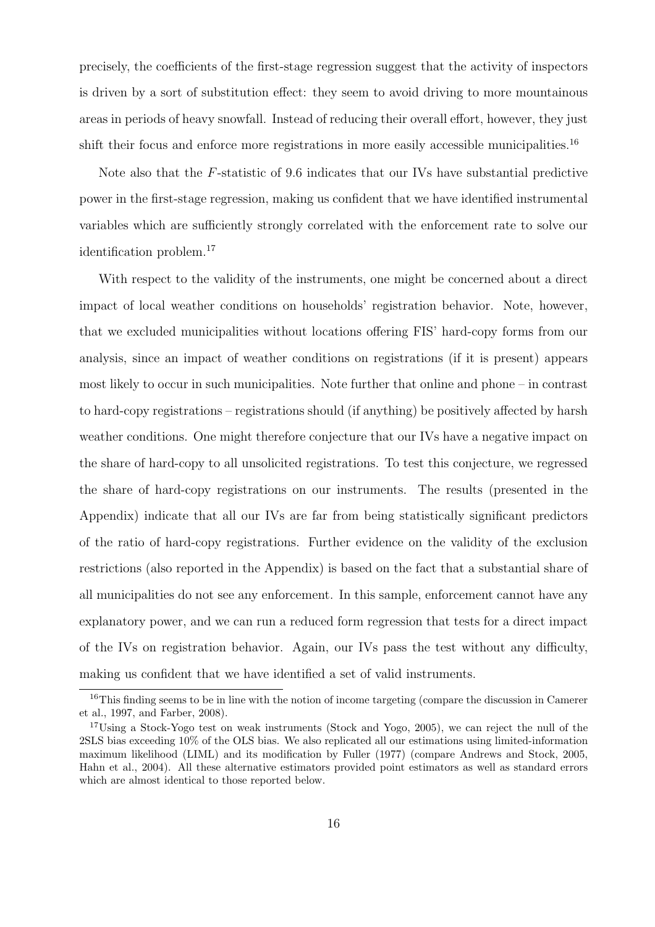precisely, the coefficients of the first-stage regression suggest that the activity of inspectors is driven by a sort of substitution effect: they seem to avoid driving to more mountainous areas in periods of heavy snowfall. Instead of reducing their overall effort, however, they just shift their focus and enforce more registrations in more easily accessible municipalities.<sup>16</sup>

Note also that the F-statistic of 9.6 indicates that our IVs have substantial predictive power in the first-stage regression, making us confident that we have identified instrumental variables which are sufficiently strongly correlated with the enforcement rate to solve our identification problem.<sup>17</sup>

With respect to the validity of the instruments, one might be concerned about a direct impact of local weather conditions on households' registration behavior. Note, however, that we excluded municipalities without locations offering FIS' hard-copy forms from our analysis, since an impact of weather conditions on registrations (if it is present) appears most likely to occur in such municipalities. Note further that online and phone – in contrast to hard-copy registrations – registrations should (if anything) be positively affected by harsh weather conditions. One might therefore conjecture that our IVs have a negative impact on the share of hard-copy to all unsolicited registrations. To test this conjecture, we regressed the share of hard-copy registrations on our instruments. The results (presented in the Appendix) indicate that all our IVs are far from being statistically significant predictors of the ratio of hard-copy registrations. Further evidence on the validity of the exclusion restrictions (also reported in the Appendix) is based on the fact that a substantial share of all municipalities do not see any enforcement. In this sample, enforcement cannot have any explanatory power, and we can run a reduced form regression that tests for a direct impact of the IVs on registration behavior. Again, our IVs pass the test without any difficulty, making us confident that we have identified a set of valid instruments.

<sup>&</sup>lt;sup>16</sup>This finding seems to be in line with the notion of income targeting (compare the discussion in Camerer et al., 1997, and Farber, 2008).

<sup>&</sup>lt;sup>17</sup>Using a Stock-Yogo test on weak instruments (Stock and Yogo, 2005), we can reject the null of the 2SLS bias exceeding 10% of the OLS bias. We also replicated all our estimations using limited-information maximum likelihood (LIML) and its modification by Fuller (1977) (compare Andrews and Stock, 2005, Hahn et al., 2004). All these alternative estimators provided point estimators as well as standard errors which are almost identical to those reported below.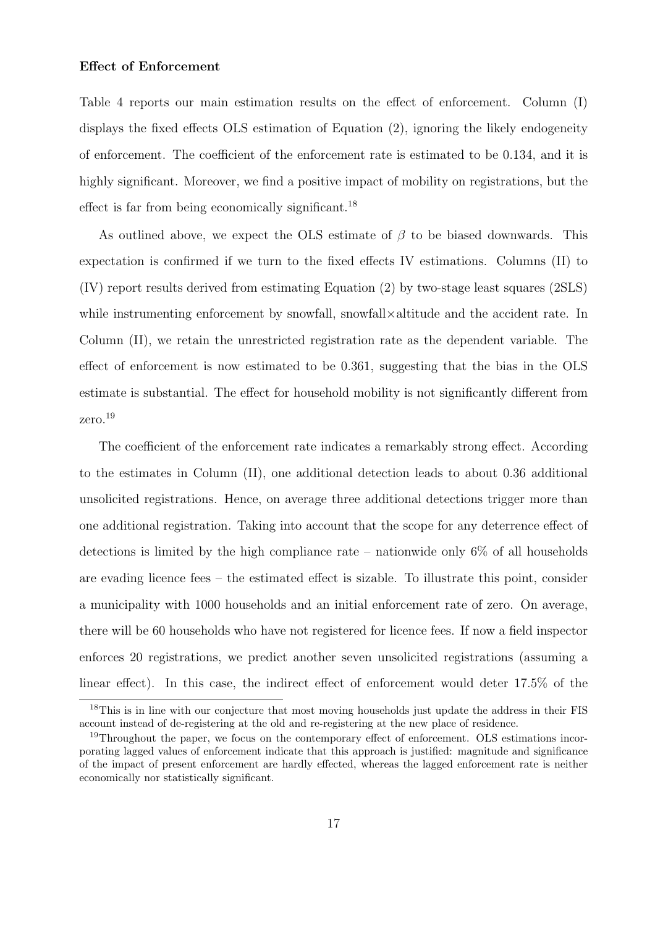#### Effect of Enforcement

Table 4 reports our main estimation results on the effect of enforcement. Column (I) displays the fixed effects OLS estimation of Equation (2), ignoring the likely endogeneity of enforcement. The coefficient of the enforcement rate is estimated to be 0.134, and it is highly significant. Moreover, we find a positive impact of mobility on registrations, but the effect is far from being economically significant.<sup>18</sup>

As outlined above, we expect the OLS estimate of  $\beta$  to be biased downwards. This expectation is confirmed if we turn to the fixed effects IV estimations. Columns (II) to (IV) report results derived from estimating Equation (2) by two-stage least squares (2SLS) while instrumenting enforcement by snowfall, snowfall×altitude and the accident rate. In Column (II), we retain the unrestricted registration rate as the dependent variable. The effect of enforcement is now estimated to be 0.361, suggesting that the bias in the OLS estimate is substantial. The effect for household mobility is not significantly different from zero.<sup>19</sup>

The coefficient of the enforcement rate indicates a remarkably strong effect. According to the estimates in Column (II), one additional detection leads to about 0.36 additional unsolicited registrations. Hence, on average three additional detections trigger more than one additional registration. Taking into account that the scope for any deterrence effect of detections is limited by the high compliance rate – nationwide only  $6\%$  of all households are evading licence fees – the estimated effect is sizable. To illustrate this point, consider a municipality with 1000 households and an initial enforcement rate of zero. On average, there will be 60 households who have not registered for licence fees. If now a field inspector enforces 20 registrations, we predict another seven unsolicited registrations (assuming a linear effect). In this case, the indirect effect of enforcement would deter 17.5% of the

<sup>&</sup>lt;sup>18</sup>This is in line with our conjecture that most moving households just update the address in their FIS account instead of de-registering at the old and re-registering at the new place of residence.

<sup>&</sup>lt;sup>19</sup>Throughout the paper, we focus on the contemporary effect of enforcement. OLS estimations incorporating lagged values of enforcement indicate that this approach is justified: magnitude and significance of the impact of present enforcement are hardly effected, whereas the lagged enforcement rate is neither economically nor statistically significant.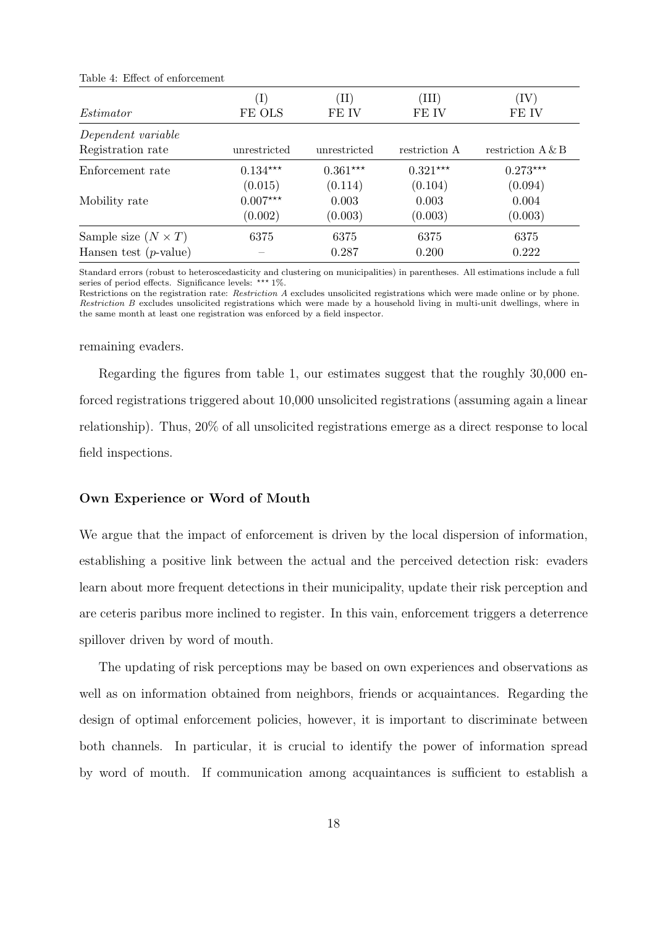|                                                        | $\ket{1}$                        | $(\mathrm{II})$             | ${\rm(III)}$                | $\left( \mathrm{IV}\right)$ |
|--------------------------------------------------------|----------------------------------|-----------------------------|-----------------------------|-----------------------------|
| Estimator                                              | FE OLS                           | FE IV                       | FE IV                       | FE IV                       |
| Dependent variable<br>Registration rate                | unrestricted                     | unrestricted                | restriction A               | restriction $A \& B$        |
| Enforcement rate                                       | $0.134***$                       | $0.361***$                  | $0.321***$                  | $0.273***$                  |
| Mobility rate                                          | (0.015)<br>$0.007***$<br>(0.002) | (0.114)<br>0.003<br>(0.003) | (0.104)<br>0.003<br>(0.003) | (0.094)<br>0.004<br>(0.003) |
| Sample size $(N \times T)$<br>Hansen test $(p$ -value) | 6375                             | 6375<br>0.287               | 6375<br>0.200               | 6375<br>0.222               |

Table 4: Effect of enforcement

Standard errors (robust to heteroscedasticity and clustering on municipalities) in parentheses. All estimations include a full series of period effects. Significance levels:  $*** 1\%$ .

Restrictions on the registration rate: Restriction A excludes unsolicited registrations which were made online or by phone. Restriction B excludes unsolicited registrations which were made by a household living in multi-unit dwellings, where in the same month at least one registration was enforced by a field inspector.

#### remaining evaders.

Regarding the figures from table 1, our estimates suggest that the roughly 30,000 enforced registrations triggered about 10,000 unsolicited registrations (assuming again a linear relationship). Thus, 20% of all unsolicited registrations emerge as a direct response to local field inspections.

#### Own Experience or Word of Mouth

We argue that the impact of enforcement is driven by the local dispersion of information, establishing a positive link between the actual and the perceived detection risk: evaders learn about more frequent detections in their municipality, update their risk perception and are ceteris paribus more inclined to register. In this vain, enforcement triggers a deterrence spillover driven by word of mouth.

The updating of risk perceptions may be based on own experiences and observations as well as on information obtained from neighbors, friends or acquaintances. Regarding the design of optimal enforcement policies, however, it is important to discriminate between both channels. In particular, it is crucial to identify the power of information spread by word of mouth. If communication among acquaintances is sufficient to establish a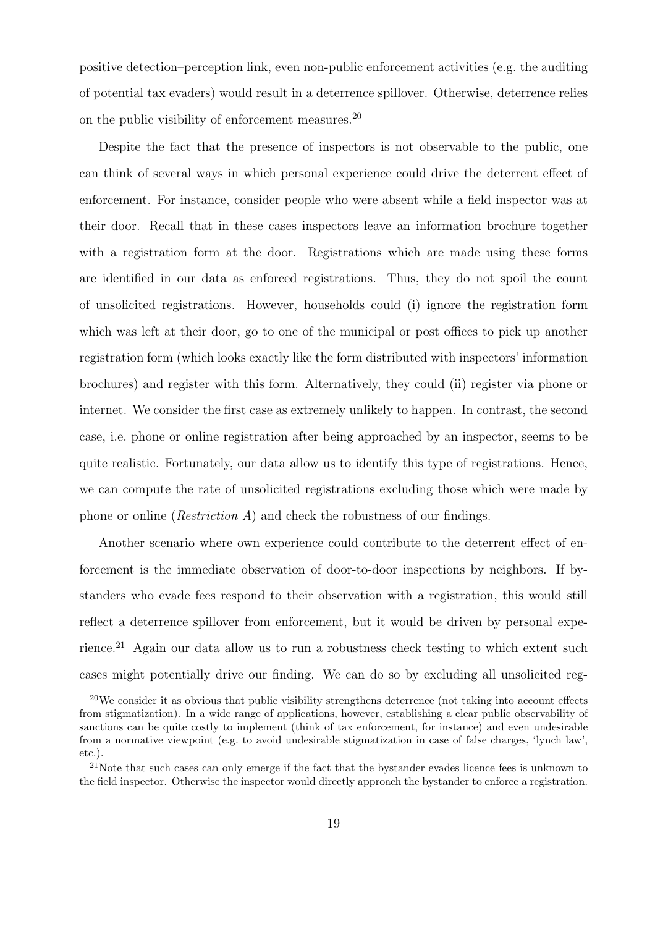positive detection–perception link, even non-public enforcement activities (e.g. the auditing of potential tax evaders) would result in a deterrence spillover. Otherwise, deterrence relies on the public visibility of enforcement measures.<sup>20</sup>

Despite the fact that the presence of inspectors is not observable to the public, one can think of several ways in which personal experience could drive the deterrent effect of enforcement. For instance, consider people who were absent while a field inspector was at their door. Recall that in these cases inspectors leave an information brochure together with a registration form at the door. Registrations which are made using these forms are identified in our data as enforced registrations. Thus, they do not spoil the count of unsolicited registrations. However, households could (i) ignore the registration form which was left at their door, go to one of the municipal or post offices to pick up another registration form (which looks exactly like the form distributed with inspectors' information brochures) and register with this form. Alternatively, they could (ii) register via phone or internet. We consider the first case as extremely unlikely to happen. In contrast, the second case, i.e. phone or online registration after being approached by an inspector, seems to be quite realistic. Fortunately, our data allow us to identify this type of registrations. Hence, we can compute the rate of unsolicited registrations excluding those which were made by phone or online (*Restriction A*) and check the robustness of our findings.

Another scenario where own experience could contribute to the deterrent effect of enforcement is the immediate observation of door-to-door inspections by neighbors. If bystanders who evade fees respond to their observation with a registration, this would still reflect a deterrence spillover from enforcement, but it would be driven by personal experience.<sup>21</sup> Again our data allow us to run a robustness check testing to which extent such cases might potentially drive our finding. We can do so by excluding all unsolicited reg-

 $20$ We consider it as obvious that public visibility strengthens deterrence (not taking into account effects from stigmatization). In a wide range of applications, however, establishing a clear public observability of sanctions can be quite costly to implement (think of tax enforcement, for instance) and even undesirable from a normative viewpoint (e.g. to avoid undesirable stigmatization in case of false charges, 'lynch law', etc.).

<sup>&</sup>lt;sup>21</sup>Note that such cases can only emerge if the fact that the bystander evades licence fees is unknown to the field inspector. Otherwise the inspector would directly approach the bystander to enforce a registration.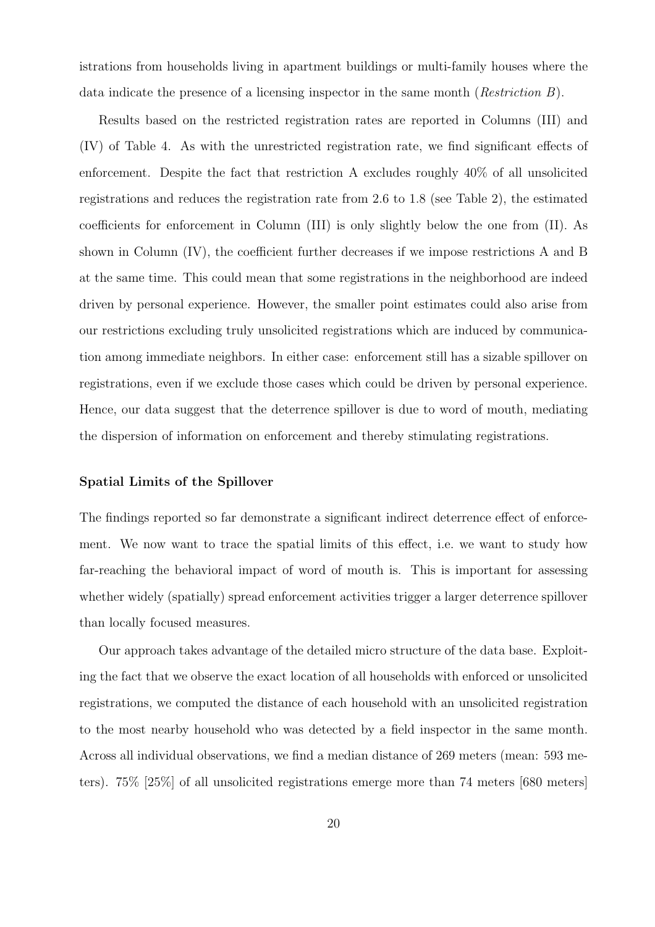istrations from households living in apartment buildings or multi-family houses where the data indicate the presence of a licensing inspector in the same month (*Restriction B*).

Results based on the restricted registration rates are reported in Columns (III) and (IV) of Table 4. As with the unrestricted registration rate, we find significant effects of enforcement. Despite the fact that restriction A excludes roughly 40% of all unsolicited registrations and reduces the registration rate from 2.6 to 1.8 (see Table 2), the estimated coefficients for enforcement in Column (III) is only slightly below the one from (II). As shown in Column (IV), the coefficient further decreases if we impose restrictions A and B at the same time. This could mean that some registrations in the neighborhood are indeed driven by personal experience. However, the smaller point estimates could also arise from our restrictions excluding truly unsolicited registrations which are induced by communication among immediate neighbors. In either case: enforcement still has a sizable spillover on registrations, even if we exclude those cases which could be driven by personal experience. Hence, our data suggest that the deterrence spillover is due to word of mouth, mediating the dispersion of information on enforcement and thereby stimulating registrations.

#### Spatial Limits of the Spillover

The findings reported so far demonstrate a significant indirect deterrence effect of enforcement. We now want to trace the spatial limits of this effect, i.e. we want to study how far-reaching the behavioral impact of word of mouth is. This is important for assessing whether widely (spatially) spread enforcement activities trigger a larger deterrence spillover than locally focused measures.

Our approach takes advantage of the detailed micro structure of the data base. Exploiting the fact that we observe the exact location of all households with enforced or unsolicited registrations, we computed the distance of each household with an unsolicited registration to the most nearby household who was detected by a field inspector in the same month. Across all individual observations, we find a median distance of 269 meters (mean: 593 meters). 75% [25%] of all unsolicited registrations emerge more than 74 meters [680 meters]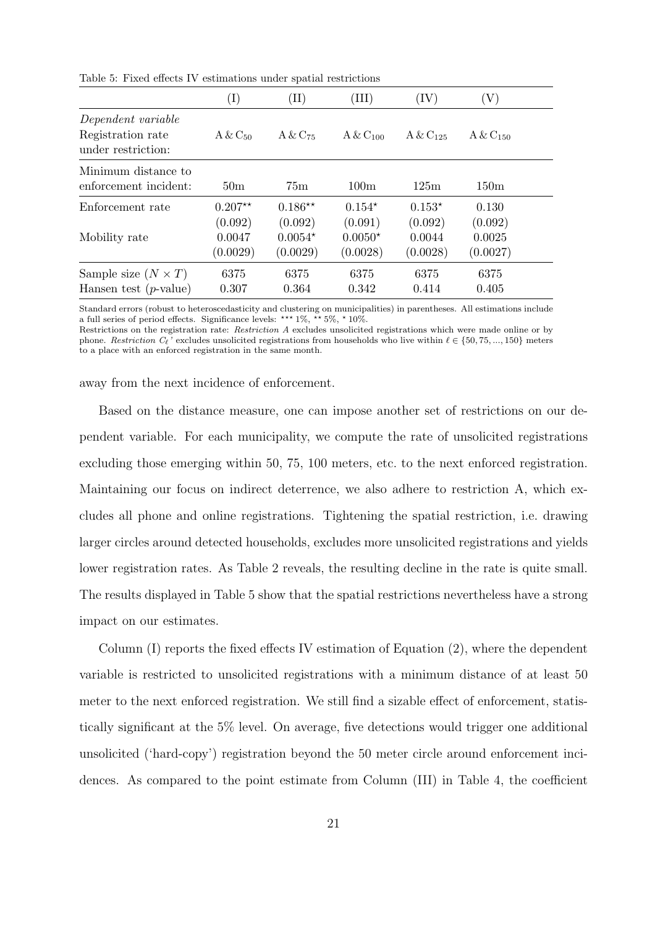|                                                               | $(\mathrm{I})$                | (II)                             | ${\rm(III)}$                     | (IV)                          | (V)                           |  |
|---------------------------------------------------------------|-------------------------------|----------------------------------|----------------------------------|-------------------------------|-------------------------------|--|
| Dependent variable<br>Registration rate<br>under restriction: | $A & C_{50}$                  | $A & C_{75}$                     | $A & C_{100}$                    | $A & C_{125}$                 | $A & C_{150}$                 |  |
| Minimum distance to<br>enforcement incident:                  | 50 <sub>m</sub>               | 75 <sub>m</sub>                  | 100m                             | 125m                          | 150m                          |  |
| Enforcement rate                                              | $0.207**$                     | $0.186**$                        | $0.154*$                         | $0.153*$                      | 0.130                         |  |
| Mobility rate                                                 | (0.092)<br>0.0047<br>(0.0029) | (0.092)<br>$0.0054*$<br>(0.0029) | (0.091)<br>$0.0050*$<br>(0.0028) | (0.092)<br>0.0044<br>(0.0028) | (0.092)<br>0.0025<br>(0.0027) |  |
| Sample size $(N \times T)$                                    | 6375                          | 6375                             | 6375                             | 6375                          | 6375                          |  |
| Hansen test $(p$ -value)                                      | 0.307                         | 0.364                            | 0.342                            | 0.414                         | 0.405                         |  |

Table 5: Fixed effects IV estimations under spatial restrictions

Standard errors (robust to heteroscedasticity and clustering on municipalities) in parentheses. All estimations include a full series of period effects. Significance levels: \*\*\*  $1\%$ , \*\*  $5\%$ , \*  $10\%$ .

Restrictions on the registration rate: Restriction A excludes unsolicited registrations which were made online or by phone. Restriction  $C_{\ell}$ ' excludes unsolicited registrations from households who live within  $\ell \in \{50, 75, ..., 150\}$  meters to a place with an enforced registration in the same month.

away from the next incidence of enforcement.

Based on the distance measure, one can impose another set of restrictions on our dependent variable. For each municipality, we compute the rate of unsolicited registrations excluding those emerging within 50, 75, 100 meters, etc. to the next enforced registration. Maintaining our focus on indirect deterrence, we also adhere to restriction A, which excludes all phone and online registrations. Tightening the spatial restriction, i.e. drawing larger circles around detected households, excludes more unsolicited registrations and yields lower registration rates. As Table 2 reveals, the resulting decline in the rate is quite small. The results displayed in Table 5 show that the spatial restrictions nevertheless have a strong impact on our estimates.

Column (I) reports the fixed effects IV estimation of Equation (2), where the dependent variable is restricted to unsolicited registrations with a minimum distance of at least 50 meter to the next enforced registration. We still find a sizable effect of enforcement, statistically significant at the 5% level. On average, five detections would trigger one additional unsolicited ('hard-copy') registration beyond the 50 meter circle around enforcement incidences. As compared to the point estimate from Column (III) in Table 4, the coefficient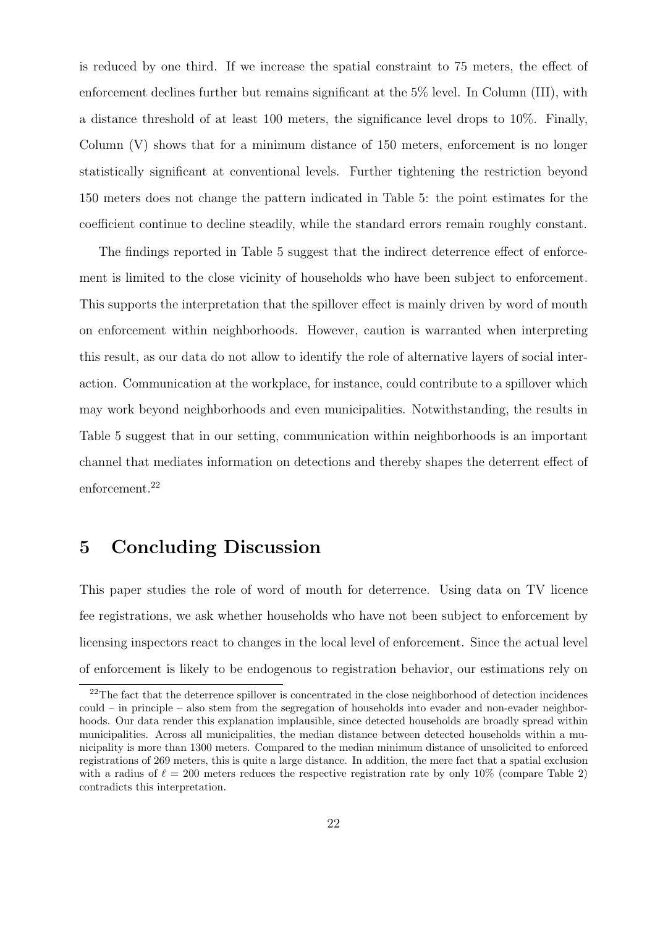is reduced by one third. If we increase the spatial constraint to 75 meters, the effect of enforcement declines further but remains significant at the 5% level. In Column (III), with a distance threshold of at least 100 meters, the significance level drops to 10%. Finally, Column (V) shows that for a minimum distance of 150 meters, enforcement is no longer statistically significant at conventional levels. Further tightening the restriction beyond 150 meters does not change the pattern indicated in Table 5: the point estimates for the coefficient continue to decline steadily, while the standard errors remain roughly constant.

The findings reported in Table 5 suggest that the indirect deterrence effect of enforcement is limited to the close vicinity of households who have been subject to enforcement. This supports the interpretation that the spillover effect is mainly driven by word of mouth on enforcement within neighborhoods. However, caution is warranted when interpreting this result, as our data do not allow to identify the role of alternative layers of social interaction. Communication at the workplace, for instance, could contribute to a spillover which may work beyond neighborhoods and even municipalities. Notwithstanding, the results in Table 5 suggest that in our setting, communication within neighborhoods is an important channel that mediates information on detections and thereby shapes the deterrent effect of enforcement.<sup>22</sup>

## 5 Concluding Discussion

This paper studies the role of word of mouth for deterrence. Using data on TV licence fee registrations, we ask whether households who have not been subject to enforcement by licensing inspectors react to changes in the local level of enforcement. Since the actual level of enforcement is likely to be endogenous to registration behavior, our estimations rely on

<sup>&</sup>lt;sup>22</sup>The fact that the deterrence spillover is concentrated in the close neighborhood of detection incidences could – in principle – also stem from the segregation of households into evader and non-evader neighborhoods. Our data render this explanation implausible, since detected households are broadly spread within municipalities. Across all municipalities, the median distance between detected households within a municipality is more than 1300 meters. Compared to the median minimum distance of unsolicited to enforced registrations of 269 meters, this is quite a large distance. In addition, the mere fact that a spatial exclusion with a radius of  $\ell = 200$  meters reduces the respective registration rate by only 10% (compare Table 2) contradicts this interpretation.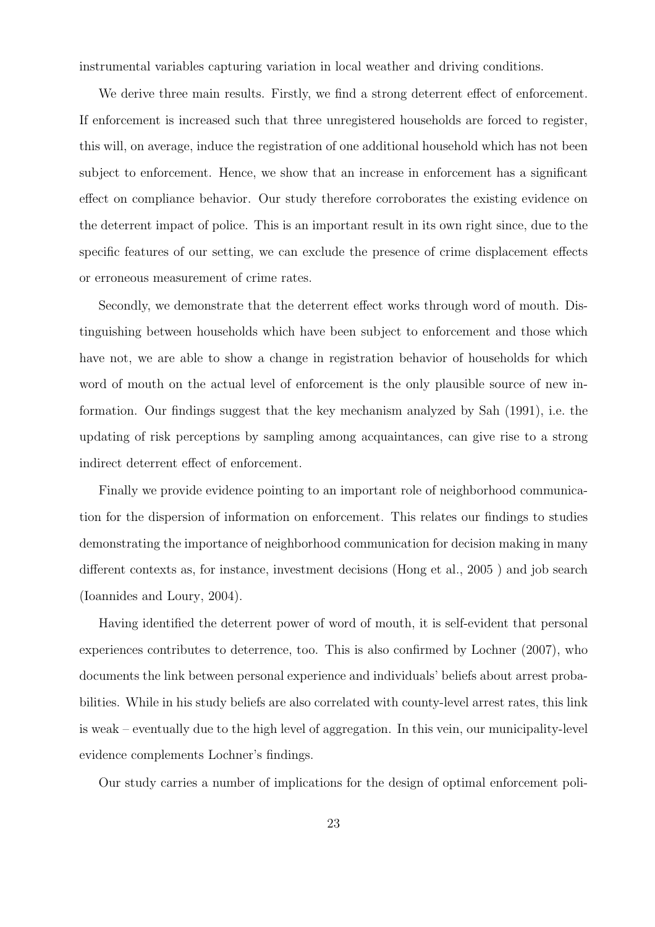instrumental variables capturing variation in local weather and driving conditions.

We derive three main results. Firstly, we find a strong deterrent effect of enforcement. If enforcement is increased such that three unregistered households are forced to register, this will, on average, induce the registration of one additional household which has not been subject to enforcement. Hence, we show that an increase in enforcement has a significant effect on compliance behavior. Our study therefore corroborates the existing evidence on the deterrent impact of police. This is an important result in its own right since, due to the specific features of our setting, we can exclude the presence of crime displacement effects or erroneous measurement of crime rates.

Secondly, we demonstrate that the deterrent effect works through word of mouth. Distinguishing between households which have been subject to enforcement and those which have not, we are able to show a change in registration behavior of households for which word of mouth on the actual level of enforcement is the only plausible source of new information. Our findings suggest that the key mechanism analyzed by Sah (1991), i.e. the updating of risk perceptions by sampling among acquaintances, can give rise to a strong indirect deterrent effect of enforcement.

Finally we provide evidence pointing to an important role of neighborhood communication for the dispersion of information on enforcement. This relates our findings to studies demonstrating the importance of neighborhood communication for decision making in many different contexts as, for instance, investment decisions (Hong et al., 2005 ) and job search (Ioannides and Loury, 2004).

Having identified the deterrent power of word of mouth, it is self-evident that personal experiences contributes to deterrence, too. This is also confirmed by Lochner (2007), who documents the link between personal experience and individuals' beliefs about arrest probabilities. While in his study beliefs are also correlated with county-level arrest rates, this link is weak – eventually due to the high level of aggregation. In this vein, our municipality-level evidence complements Lochner's findings.

Our study carries a number of implications for the design of optimal enforcement poli-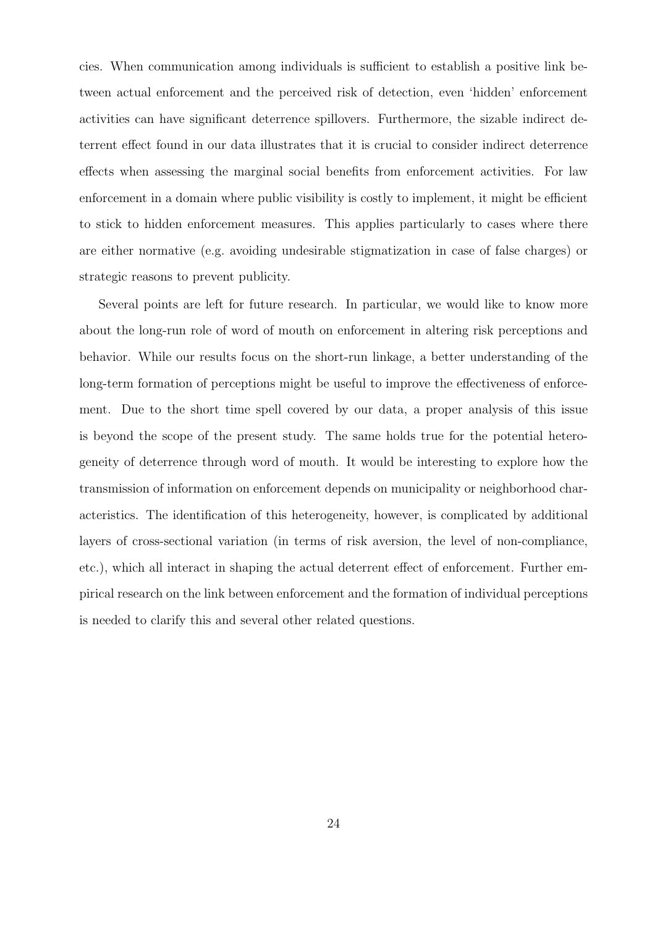cies. When communication among individuals is sufficient to establish a positive link between actual enforcement and the perceived risk of detection, even 'hidden' enforcement activities can have significant deterrence spillovers. Furthermore, the sizable indirect deterrent effect found in our data illustrates that it is crucial to consider indirect deterrence effects when assessing the marginal social benefits from enforcement activities. For law enforcement in a domain where public visibility is costly to implement, it might be efficient to stick to hidden enforcement measures. This applies particularly to cases where there are either normative (e.g. avoiding undesirable stigmatization in case of false charges) or strategic reasons to prevent publicity.

Several points are left for future research. In particular, we would like to know more about the long-run role of word of mouth on enforcement in altering risk perceptions and behavior. While our results focus on the short-run linkage, a better understanding of the long-term formation of perceptions might be useful to improve the effectiveness of enforcement. Due to the short time spell covered by our data, a proper analysis of this issue is beyond the scope of the present study. The same holds true for the potential heterogeneity of deterrence through word of mouth. It would be interesting to explore how the transmission of information on enforcement depends on municipality or neighborhood characteristics. The identification of this heterogeneity, however, is complicated by additional layers of cross-sectional variation (in terms of risk aversion, the level of non-compliance, etc.), which all interact in shaping the actual deterrent effect of enforcement. Further empirical research on the link between enforcement and the formation of individual perceptions is needed to clarify this and several other related questions.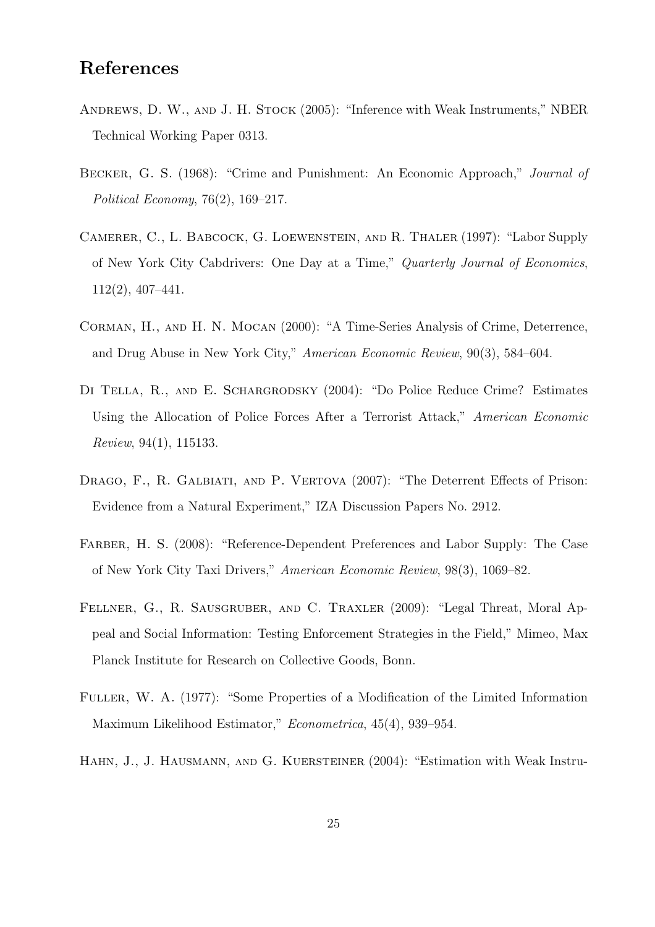### References

- Andrews, D. W., and J. H. Stock (2005): "Inference with Weak Instruments," NBER Technical Working Paper 0313.
- Becker, G. S. (1968): "Crime and Punishment: An Economic Approach," Journal of Political Economy, 76(2), 169–217.
- Camerer, C., L. Babcock, G. Loewenstein, and R. Thaler (1997): "Labor Supply of New York City Cabdrivers: One Day at a Time," Quarterly Journal of Economics, 112(2), 407–441.
- Corman, H., and H. N. Mocan (2000): "A Time-Series Analysis of Crime, Deterrence, and Drug Abuse in New York City," American Economic Review, 90(3), 584–604.
- Di Tella, R., and E. Schargrodsky (2004): "Do Police Reduce Crime? Estimates Using the Allocation of Police Forces After a Terrorist Attack," American Economic Review, 94(1), 115133.
- DRAGO, F., R. GALBIATI, AND P. VERTOVA (2007): "The Deterrent Effects of Prison: Evidence from a Natural Experiment," IZA Discussion Papers No. 2912.
- Farber, H. S. (2008): "Reference-Dependent Preferences and Labor Supply: The Case of New York City Taxi Drivers," American Economic Review, 98(3), 1069–82.
- Fellner, G., R. Sausgruber, and C. Traxler (2009): "Legal Threat, Moral Appeal and Social Information: Testing Enforcement Strategies in the Field," Mimeo, Max Planck Institute for Research on Collective Goods, Bonn.
- Fuller, W. A. (1977): "Some Properties of a Modification of the Limited Information Maximum Likelihood Estimator," Econometrica, 45(4), 939–954.
- Hahn, J., J. Hausmann, and G. Kuersteiner (2004): "Estimation with Weak Instru-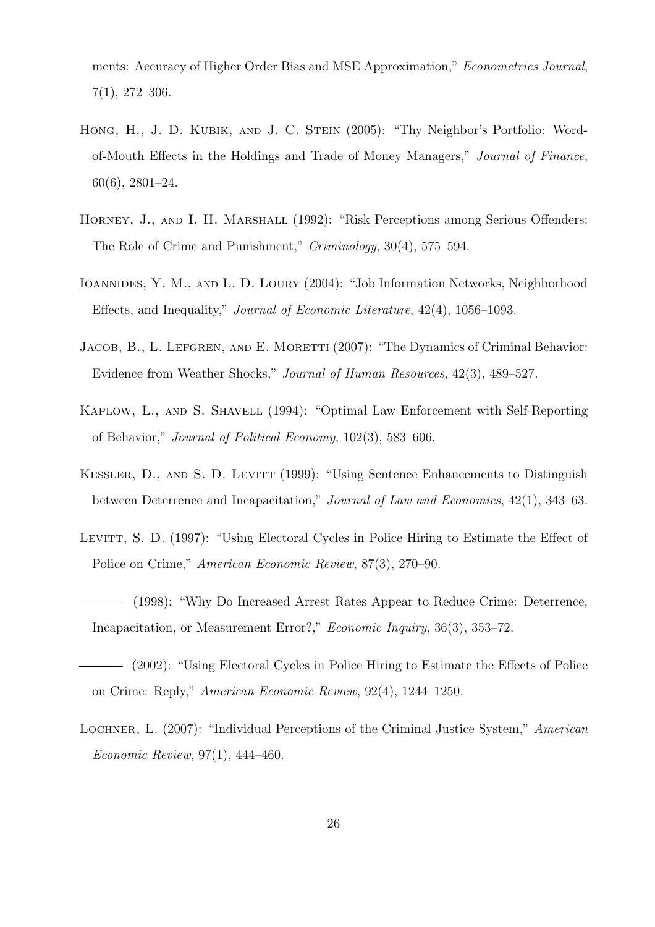ments: Accuracy of Higher Order Bias and MSE Approximation," Econometrics Journal, 7(1), 272–306.

- HONG, H., J. D. KUBIK, AND J. C. STEIN (2005): "Thy Neighbor's Portfolio: Wordof-Mouth Effects in the Holdings and Trade of Money Managers," Journal of Finance, 60(6), 2801–24.
- HORNEY, J., AND I. H. MARSHALL (1992): "Risk Perceptions among Serious Offenders: The Role of Crime and Punishment," Criminology, 30(4), 575–594.
- Ioannides, Y. M., and L. D. Loury (2004): "Job Information Networks, Neighborhood Effects, and Inequality," Journal of Economic Literature, 42(4), 1056–1093.
- JACOB, B., L. LEFGREN, AND E. MORETTI (2007): "The Dynamics of Criminal Behavior: Evidence from Weather Shocks," Journal of Human Resources, 42(3), 489–527.
- Kaplow, L., and S. Shavell (1994): "Optimal Law Enforcement with Self-Reporting of Behavior," Journal of Political Economy, 102(3), 583–606.
- KESSLER, D., AND S. D. LEVITT (1999): "Using Sentence Enhancements to Distinguish between Deterrence and Incapacitation," Journal of Law and Economics, 42(1), 343–63.
- LEVITT, S. D. (1997): "Using Electoral Cycles in Police Hiring to Estimate the Effect of Police on Crime," American Economic Review, 87(3), 270–90.
- (1998): "Why Do Increased Arrest Rates Appear to Reduce Crime: Deterrence, Incapacitation, or Measurement Error?," Economic Inquiry, 36(3), 353–72.
- (2002): "Using Electoral Cycles in Police Hiring to Estimate the Effects of Police on Crime: Reply," American Economic Review, 92(4), 1244–1250.
- Lochner, L. (2007): "Individual Perceptions of the Criminal Justice System," American Economic Review, 97(1), 444–460.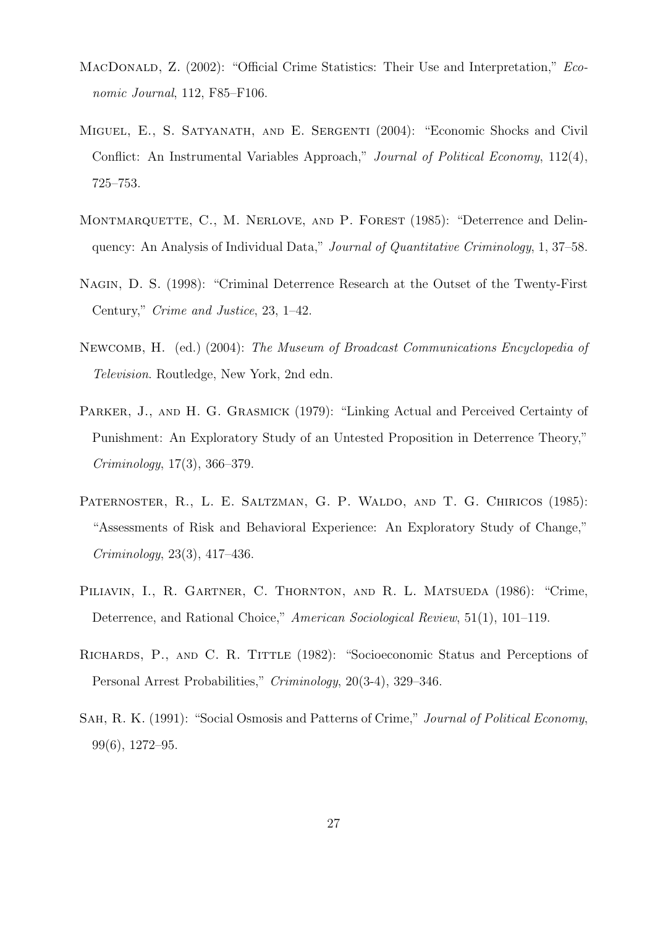- MACDONALD, Z. (2002): "Official Crime Statistics: Their Use and Interpretation," Economic Journal, 112, F85–F106.
- Miguel, E., S. Satyanath, and E. Sergenti (2004): "Economic Shocks and Civil Conflict: An Instrumental Variables Approach," Journal of Political Economy, 112(4), 725–753.
- MONTMARQUETTE, C., M. NERLOVE, AND P. FOREST (1985): "Deterrence and Delinquency: An Analysis of Individual Data," Journal of Quantitative Criminology, 1, 37–58.
- Nagin, D. S. (1998): "Criminal Deterrence Research at the Outset of the Twenty-First Century," Crime and Justice, 23, 1–42.
- Newcomb, H. (ed.) (2004): The Museum of Broadcast Communications Encyclopedia of Television. Routledge, New York, 2nd edn.
- PARKER, J., AND H. G. GRASMICK (1979): "Linking Actual and Perceived Certainty of Punishment: An Exploratory Study of an Untested Proposition in Deterrence Theory," Criminology, 17(3), 366–379.
- PATERNOSTER, R., L. E. SALTZMAN, G. P. WALDO, AND T. G. CHIRICOS (1985): "Assessments of Risk and Behavioral Experience: An Exploratory Study of Change," Criminology, 23(3), 417–436.
- PILIAVIN, I., R. GARTNER, C. THORNTON, AND R. L. MATSUEDA (1986): "Crime, Deterrence, and Rational Choice," American Sociological Review, 51(1), 101–119.
- RICHARDS, P., AND C. R. TITTLE (1982): "Socioeconomic Status and Perceptions of Personal Arrest Probabilities," Criminology, 20(3-4), 329–346.
- SAH, R. K. (1991): "Social Osmosis and Patterns of Crime," Journal of Political Economy, 99(6), 1272–95.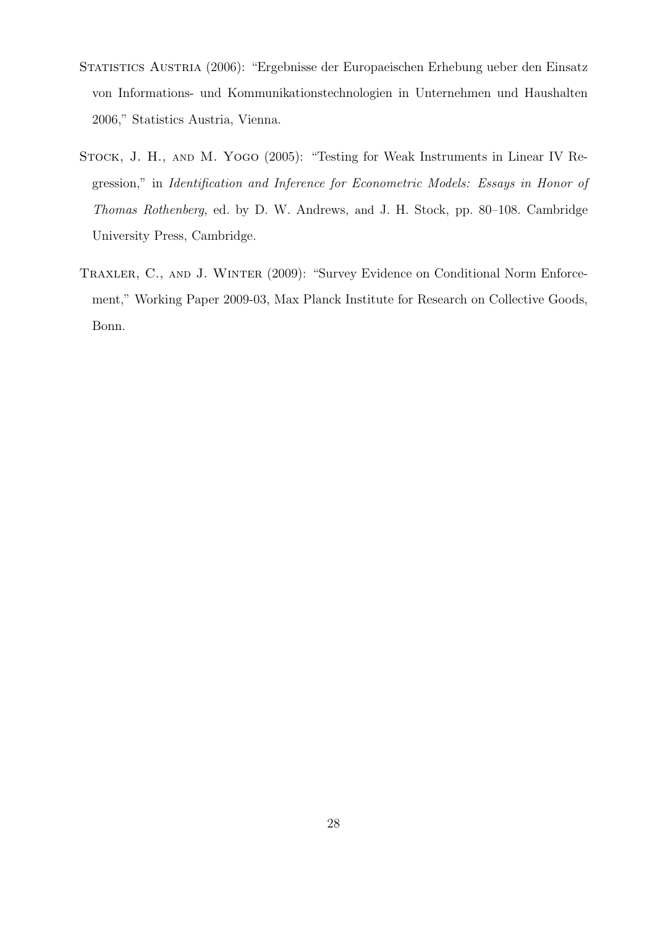- STATISTICS AUSTRIA (2006): "Ergebnisse der Europaeischen Erhebung ueber den Einsatz von Informations- und Kommunikationstechnologien in Unternehmen und Haushalten 2006," Statistics Austria, Vienna.
- Stock, J. H., and M. Yogo (2005): "Testing for Weak Instruments in Linear IV Regression," in Identification and Inference for Econometric Models: Essays in Honor of Thomas Rothenberg, ed. by D. W. Andrews, and J. H. Stock, pp. 80–108. Cambridge University Press, Cambridge.
- TRAXLER, C., AND J. WINTER (2009): "Survey Evidence on Conditional Norm Enforcement," Working Paper 2009-03, Max Planck Institute for Research on Collective Goods, Bonn.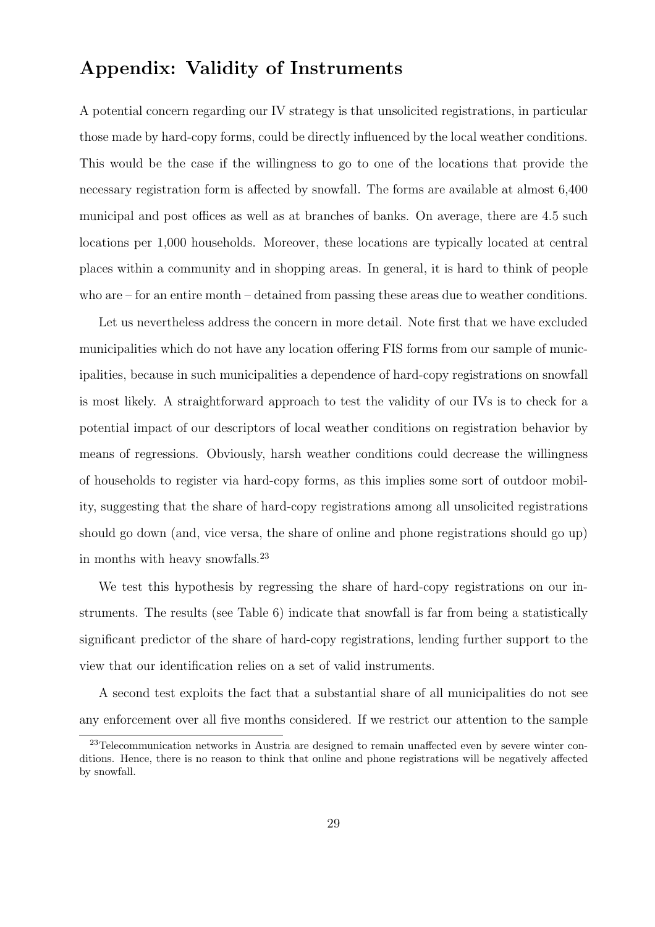### Appendix: Validity of Instruments

A potential concern regarding our IV strategy is that unsolicited registrations, in particular those made by hard-copy forms, could be directly influenced by the local weather conditions. This would be the case if the willingness to go to one of the locations that provide the necessary registration form is affected by snowfall. The forms are available at almost 6,400 municipal and post offices as well as at branches of banks. On average, there are 4.5 such locations per 1,000 households. Moreover, these locations are typically located at central places within a community and in shopping areas. In general, it is hard to think of people who are – for an entire month – detained from passing these areas due to weather conditions.

Let us nevertheless address the concern in more detail. Note first that we have excluded municipalities which do not have any location offering FIS forms from our sample of municipalities, because in such municipalities a dependence of hard-copy registrations on snowfall is most likely. A straightforward approach to test the validity of our IVs is to check for a potential impact of our descriptors of local weather conditions on registration behavior by means of regressions. Obviously, harsh weather conditions could decrease the willingness of households to register via hard-copy forms, as this implies some sort of outdoor mobility, suggesting that the share of hard-copy registrations among all unsolicited registrations should go down (and, vice versa, the share of online and phone registrations should go up) in months with heavy snowfalls.<sup>23</sup>

We test this hypothesis by regressing the share of hard-copy registrations on our instruments. The results (see Table 6) indicate that snowfall is far from being a statistically significant predictor of the share of hard-copy registrations, lending further support to the view that our identification relies on a set of valid instruments.

A second test exploits the fact that a substantial share of all municipalities do not see any enforcement over all five months considered. If we restrict our attention to the sample

<sup>&</sup>lt;sup>23</sup>Telecommunication networks in Austria are designed to remain unaffected even by severe winter conditions. Hence, there is no reason to think that online and phone registrations will be negatively affected by snowfall.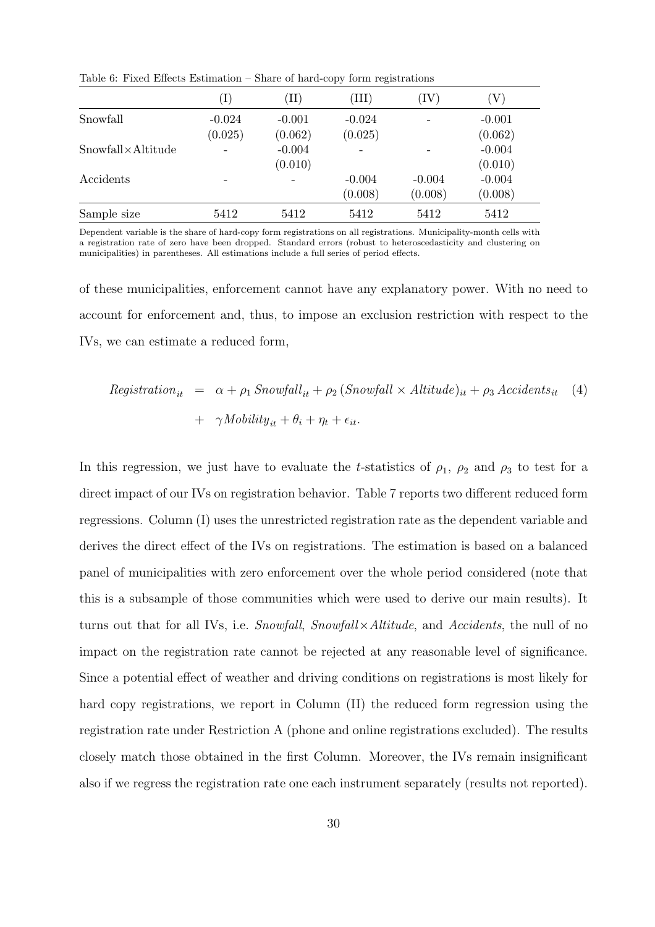|                            |                            |                     | . .                 |                     |                     |
|----------------------------|----------------------------|---------------------|---------------------|---------------------|---------------------|
|                            | $\left( \mathrm{I}\right)$ | $\rm (II)$          | ΊIΙ)                | $(\mathrm{IV}$      | ${\rm V}$           |
| Snowfall                   | $-0.024$<br>(0.025)        | $-0.001$<br>(0.062) | $-0.024$<br>(0.025) |                     | $-0.001$<br>(0.062) |
| $Showfall \times Altitude$ |                            | $-0.004$<br>(0.010) |                     |                     | $-0.004$<br>(0.010) |
| Accidents                  |                            |                     | $-0.004$<br>(0.008) | $-0.004$<br>(0.008) | $-0.004$<br>(0.008) |
| Sample size                | 5412                       | 5412                | 5412                | 5412                | 5412                |

Table 6: Fixed Effects Estimation – Share of hard-copy form registrations

Dependent variable is the share of hard-copy form registrations on all registrations. Municipality-month cells with a registration rate of zero have been dropped. Standard errors (robust to heteroscedasticity and clustering on municipalities) in parentheses. All estimations include a full series of period effects.

of these municipalities, enforcement cannot have any explanatory power. With no need to account for enforcement and, thus, to impose an exclusion restriction with respect to the IVs, we can estimate a reduced form,

$$
Registration_{it} = \alpha + \rho_1 \, Snowfall_{it} + \rho_2 \, (Showfall \times Altitude)_{it} + \rho_3 \, Accidents_{it} \quad (4)
$$

$$
+ \gamma \, Mobility_{it} + \theta_i + \eta_t + \epsilon_{it}.
$$

In this regression, we just have to evaluate the t-statistics of  $\rho_1$ ,  $\rho_2$  and  $\rho_3$  to test for a direct impact of our IVs on registration behavior. Table 7 reports two different reduced form regressions. Column (I) uses the unrestricted registration rate as the dependent variable and derives the direct effect of the IVs on registrations. The estimation is based on a balanced panel of municipalities with zero enforcement over the whole period considered (note that this is a subsample of those communities which were used to derive our main results). It turns out that for all IVs, i.e. Snowfall, Snowfall×Altitude, and Accidents, the null of no impact on the registration rate cannot be rejected at any reasonable level of significance. Since a potential effect of weather and driving conditions on registrations is most likely for hard copy registrations, we report in Column (II) the reduced form regression using the registration rate under Restriction A (phone and online registrations excluded). The results closely match those obtained in the first Column. Moreover, the IVs remain insignificant also if we regress the registration rate one each instrument separately (results not reported).